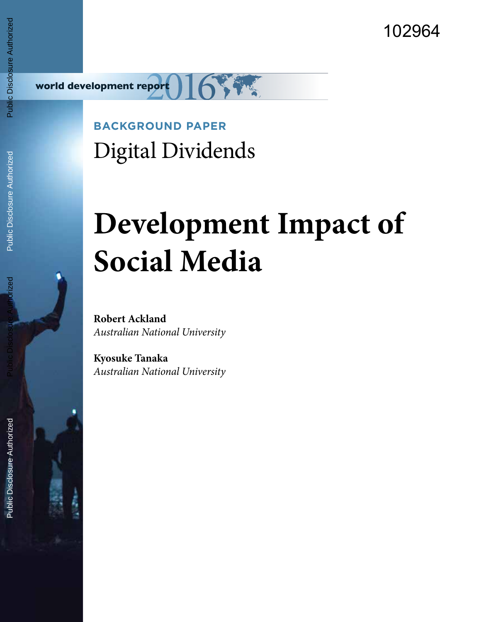102964



**BACKGROUND PAPER** Digital Dividends

# **Development Impact of Social Media**

**Robert Ackland** *Australian National University*

**Kyosuke Tanaka** *Australian National University*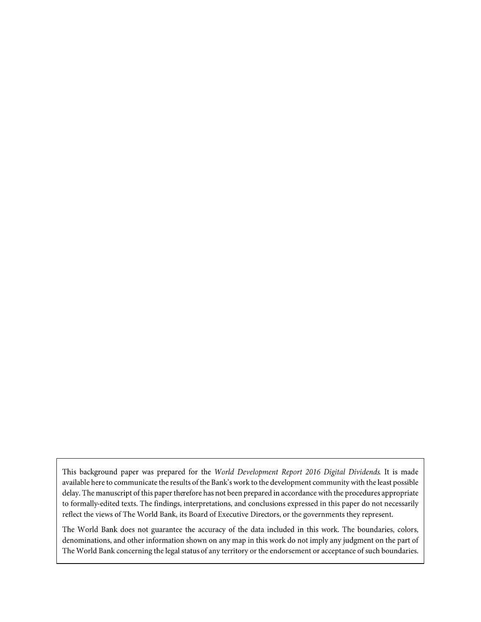This background paper was prepared for the World Development Report 2016 Digital Dividends. It is made available here to communicate the results of the Bank's work to the development community with the least possible delay. The manuscript of this paper therefore has not been prepared in accordance with the procedures appropriate to formally-edited texts. The findings, interpretations, and conclusions expressed in this paper do not necessarily reflect the views of The World Bank, its Board of Executive Directors, or the governments they represent.

The World Bank does not guarantee the accuracy of the data included in this work. The boundaries, colors, denominations, and other information shown on any map in this work do not imply any judgment on the part of The World Bank concerning the legal status of any territory or the endorsement or acceptance of such boundaries.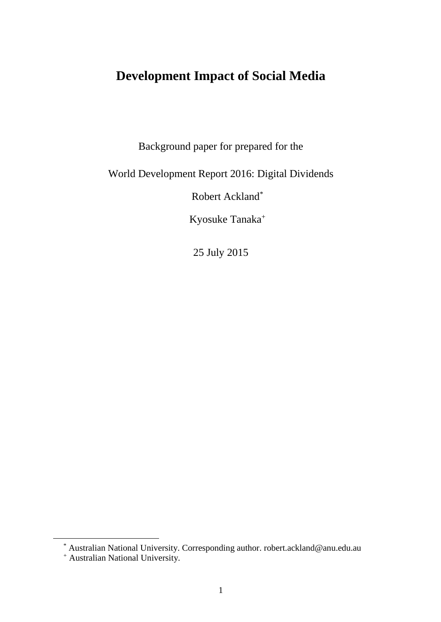# **Development Impact of Social Media**

Background paper for prepared for the

World Development Report 2016: Digital Dividends

Robert Ackland\*

Kyosuke Tanaka<sup>+</sup>

25 July 2015

\* Australian National University. Corresponding author. robert.ackland@anu.edu.au

<sup>+</sup> Australian National University.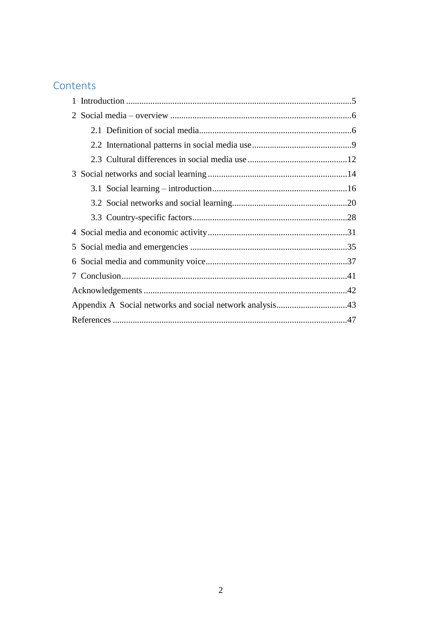# Contents

| 1 |  |
|---|--|
|   |  |
|   |  |
|   |  |
|   |  |
|   |  |
|   |  |
|   |  |
|   |  |
| 4 |  |
| 5 |  |
| 6 |  |
| 7 |  |
|   |  |
|   |  |
|   |  |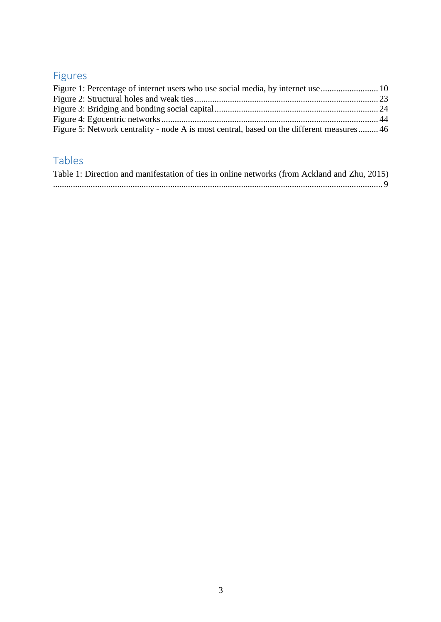# Figures

| Figure 5: Network centrality - node A is most central, based on the different measures 46 |  |
|-------------------------------------------------------------------------------------------|--|

# Tables

| Table 1: Direction and manifestation of ties in online networks (from Ackland and Zhu, 2015) |  |
|----------------------------------------------------------------------------------------------|--|
|                                                                                              |  |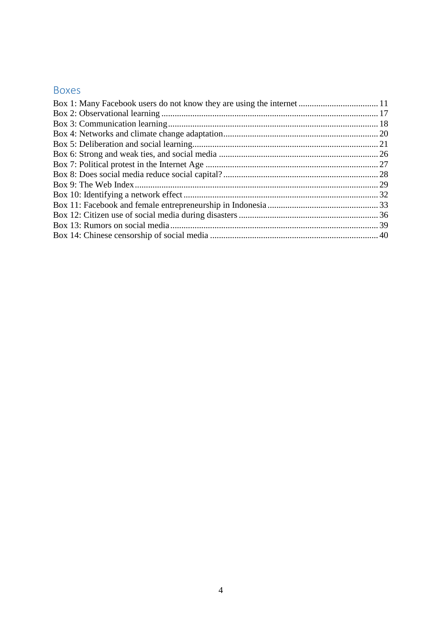# Boxes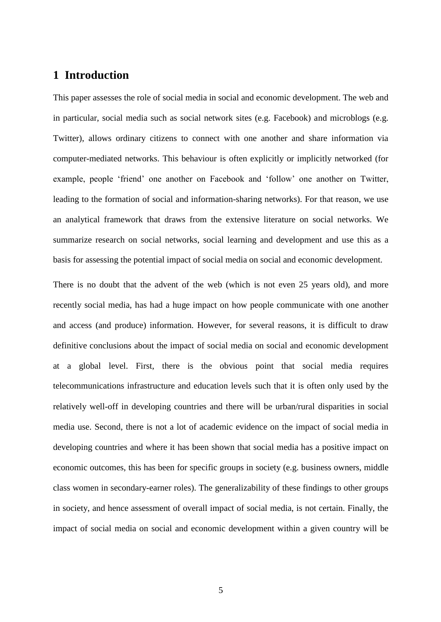## <span id="page-6-0"></span>**1 Introduction**

This paper assesses the role of social media in social and economic development. The web and in particular, social media such as social network sites (e.g. Facebook) and microblogs (e.g. Twitter), allows ordinary citizens to connect with one another and share information via computer-mediated networks. This behaviour is often explicitly or implicitly networked (for example, people 'friend' one another on Facebook and 'follow' one another on Twitter, leading to the formation of social and information-sharing networks). For that reason, we use an analytical framework that draws from the extensive literature on social networks. We summarize research on social networks, social learning and development and use this as a basis for assessing the potential impact of social media on social and economic development.

There is no doubt that the advent of the web (which is not even 25 years old), and more recently social media, has had a huge impact on how people communicate with one another and access (and produce) information. However, for several reasons, it is difficult to draw definitive conclusions about the impact of social media on social and economic development at a global level. First, there is the obvious point that social media requires telecommunications infrastructure and education levels such that it is often only used by the relatively well-off in developing countries and there will be urban/rural disparities in social media use. Second, there is not a lot of academic evidence on the impact of social media in developing countries and where it has been shown that social media has a positive impact on economic outcomes, this has been for specific groups in society (e.g. business owners, middle class women in secondary-earner roles). The generalizability of these findings to other groups in society, and hence assessment of overall impact of social media, is not certain. Finally, the impact of social media on social and economic development within a given country will be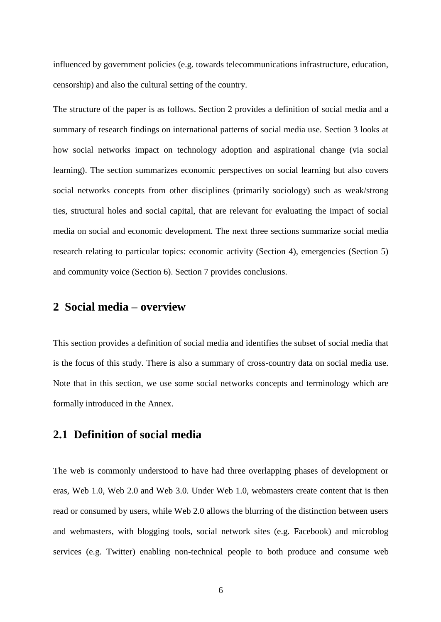influenced by government policies (e.g. towards telecommunications infrastructure, education, censorship) and also the cultural setting of the country.

The structure of the paper is as follows. Section 2 provides a definition of social media and a summary of research findings on international patterns of social media use. Section 3 looks at how social networks impact on technology adoption and aspirational change (via social learning). The section summarizes economic perspectives on social learning but also covers social networks concepts from other disciplines (primarily sociology) such as weak/strong ties, structural holes and social capital, that are relevant for evaluating the impact of social media on social and economic development. The next three sections summarize social media research relating to particular topics: economic activity (Section 4), emergencies (Section 5) and community voice (Section 6). Section 7 provides conclusions.

## <span id="page-7-0"></span>**2 Social media – overview**

This section provides a definition of social media and identifies the subset of social media that is the focus of this study. There is also a summary of cross-country data on social media use. Note that in this section, we use some social networks concepts and terminology which are formally introduced in the Annex.

## <span id="page-7-1"></span>**2.1 Definition of social media**

The web is commonly understood to have had three overlapping phases of development or eras, Web 1.0, Web 2.0 and Web 3.0. Under Web 1.0, webmasters create content that is then read or consumed by users, while Web 2.0 allows the blurring of the distinction between users and webmasters, with blogging tools, social network sites (e.g. Facebook) and microblog services (e.g. Twitter) enabling non-technical people to both produce and consume web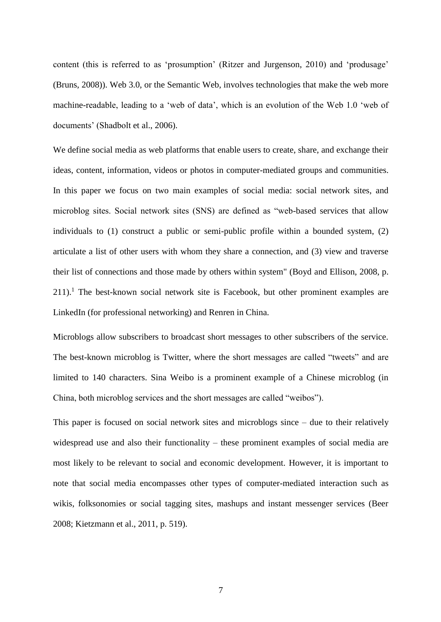content (this is referred to as 'prosumption' (Ritzer and Jurgenson, 2010) and 'produsage' (Bruns, 2008)). Web 3.0, or the Semantic Web, involves technologies that make the web more machine-readable, leading to a 'web of data', which is an evolution of the Web 1.0 'web of documents' (Shadbolt et al., 2006).

We define social media as web platforms that enable users to create, share, and exchange their ideas, content, information, videos or photos in computer-mediated groups and communities. In this paper we focus on two main examples of social media: social network sites, and microblog sites. Social network sites (SNS) are defined as "web-based services that allow individuals to (1) construct a public or semi-public profile within a bounded system, (2) articulate a list of other users with whom they share a connection, and (3) view and traverse their list of connections and those made by others within system" (Boyd and Ellison, 2008, p.  $211$ ).<sup>1</sup> The best-known social network site is Facebook, but other prominent examples are LinkedIn (for professional networking) and Renren in China.

Microblogs allow subscribers to broadcast short messages to other subscribers of the service. The best-known microblog is Twitter, where the short messages are called "tweets" and are limited to 140 characters. Sina Weibo is a prominent example of a Chinese microblog (in China, both microblog services and the short messages are called "weibos").

This paper is focused on social network sites and microblogs since – due to their relatively widespread use and also their functionality – these prominent examples of social media are most likely to be relevant to social and economic development. However, it is important to note that social media encompasses other types of computer-mediated interaction such as wikis, folksonomies or social tagging sites, mashups and instant messenger services (Beer 2008; Kietzmann et al., 2011, p. 519).

7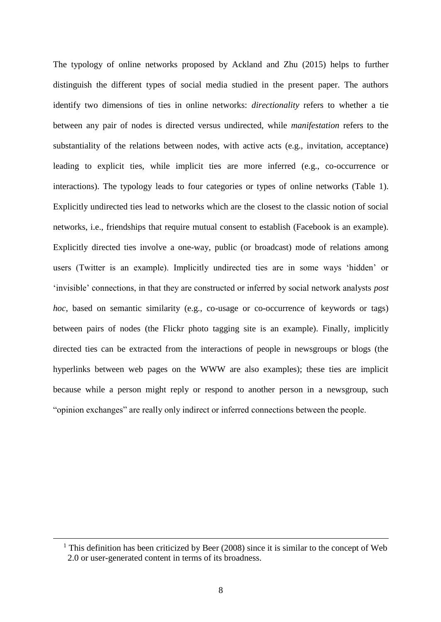The typology of online networks proposed by Ackland and Zhu (2015) helps to further distinguish the different types of social media studied in the present paper. The authors identify two dimensions of ties in online networks: *directionality* refers to whether a tie between any pair of nodes is directed versus undirected, while *manifestation* refers to the substantiality of the relations between nodes, with active acts (e.g., invitation, acceptance) leading to explicit ties, while implicit ties are more inferred (e.g., co-occurrence or interactions). The typology leads to four categories or types of online networks (Table 1). Explicitly undirected ties lead to networks which are the closest to the classic notion of social networks, i.e., friendships that require mutual consent to establish (Facebook is an example). Explicitly directed ties involve a one-way, public (or broadcast) mode of relations among users (Twitter is an example). Implicitly undirected ties are in some ways 'hidden' or 'invisible' connections, in that they are constructed or inferred by social network analysts *post hoc*, based on semantic similarity (e.g., co-usage or co-occurrence of keywords or tags) between pairs of nodes (the Flickr photo tagging site is an example). Finally, implicitly directed ties can be extracted from the interactions of people in newsgroups or blogs (the hyperlinks between web pages on the WWW are also examples); these ties are implicit because while a person might reply or respond to another person in a newsgroup, such "opinion exchanges" are really only indirect or inferred connections between the people.

<sup>&</sup>lt;sup>1</sup> This definition has been criticized by Beer (2008) since it is similar to the concept of Web 2.0 or user-generated content in terms of its broadness.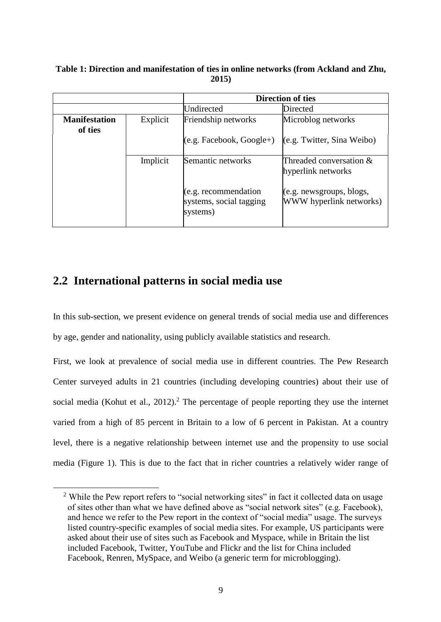#### <span id="page-10-1"></span>**Table 1: Direction and manifestation of ties in online networks (from Ackland and Zhu, 2015)**

|                                 |          | <b>Direction of ties</b>                                     |                                                     |
|---------------------------------|----------|--------------------------------------------------------------|-----------------------------------------------------|
|                                 |          | Undirected                                                   | Directed                                            |
| <b>Manifestation</b><br>of ties | Explicit | Friendship networks                                          | Microblog networks                                  |
|                                 |          | $(e.g. Facebook, Google+)$                                   | (e.g. Twitter, Sina Weibo)                          |
|                                 | Implicit | Semantic networks                                            | Threaded conversation &<br>hyperlink networks       |
|                                 |          | (e.g. recommandation)<br>systems, social tagging<br>systems) | (e.g. newsgroups, blogs,<br>WWW hyperlink networks) |

## <span id="page-10-0"></span>**2.2 International patterns in social media use**

 $\overline{a}$ 

In this sub-section, we present evidence on general trends of social media use and differences by age, gender and nationality, using publicly available statistics and research.

First, we look at prevalence of social media use in different countries. The Pew Research Center surveyed adults in 21 countries (including developing countries) about their use of social media (Kohut et al.,  $2012$ ).<sup>2</sup> The percentage of people reporting they use the internet varied from a high of 85 percent in Britain to a low of 6 percent in Pakistan. At a country level, there is a negative relationship between internet use and the propensity to use social media (Figure 1). This is due to the fact that in richer countries a relatively wider range of

<sup>&</sup>lt;sup>2</sup> While the Pew report refers to "social networking sites" in fact it collected data on usage of sites other than what we have defined above as "social network sites" (e.g. Facebook), and hence we refer to the Pew report in the context of "social media" usage. The surveys listed country-specific examples of social media sites. For example, US participants were asked about their use of sites such as Facebook and Myspace, while in Britain the list included Facebook, Twitter, YouTube and Flickr and the list for China included Facebook, Renren, MySpace, and Weibo (a generic term for microblogging).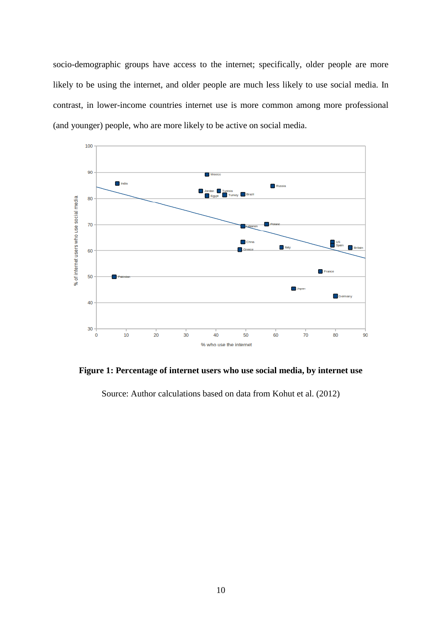socio-demographic groups have access to the internet; specifically, older people are more likely to be using the internet, and older people are much less likely to use social media. In contrast, in lower-income countries internet use is more common among more professional (and younger) people, who are more likely to be active on social media.



<span id="page-11-0"></span>**Figure 1: Percentage of internet users who use social media, by internet use**

Source: Author calculations based on data from Kohut et al. (2012)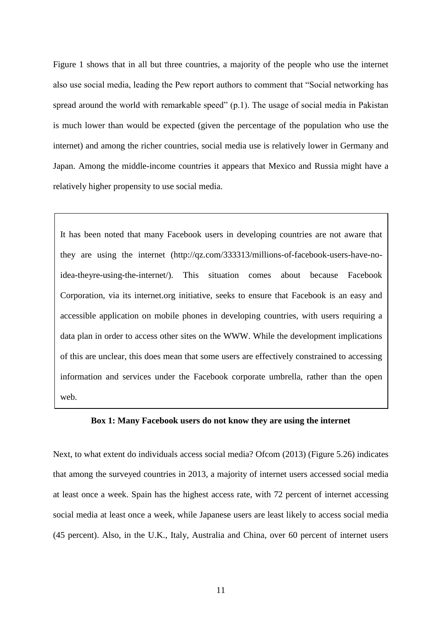Figure 1 shows that in all but three countries, a majority of the people who use the internet also use social media, leading the Pew report authors to comment that "Social networking has spread around the world with remarkable speed" (p.1). The usage of social media in Pakistan is much lower than would be expected (given the percentage of the population who use the internet) and among the richer countries, social media use is relatively lower in Germany and Japan. Among the middle-income countries it appears that Mexico and Russia might have a relatively higher propensity to use social media.

It has been noted that many Facebook users in developing countries are not aware that they are using the internet (http://qz.com/333313/millions-of-facebook-users-have-noidea-theyre-using-the-internet/). This situation comes about because Facebook Corporation, via its internet.org initiative, seeks to ensure that Facebook is an easy and accessible application on mobile phones in developing countries, with users requiring a data plan in order to access other sites on the WWW. While the development implications of this are unclear, this does mean that some users are effectively constrained to accessing information and services under the Facebook corporate umbrella, rather than the open web.

#### <span id="page-12-0"></span>**Box 1: Many Facebook users do not know they are using the internet**

Next, to what extent do individuals access social media? Ofcom (2013) (Figure 5.26) indicates that among the surveyed countries in 2013, a majority of internet users accessed social media at least once a week. Spain has the highest access rate, with 72 percent of internet accessing social media at least once a week, while Japanese users are least likely to access social media (45 percent). Also, in the U.K., Italy, Australia and China, over 60 percent of internet users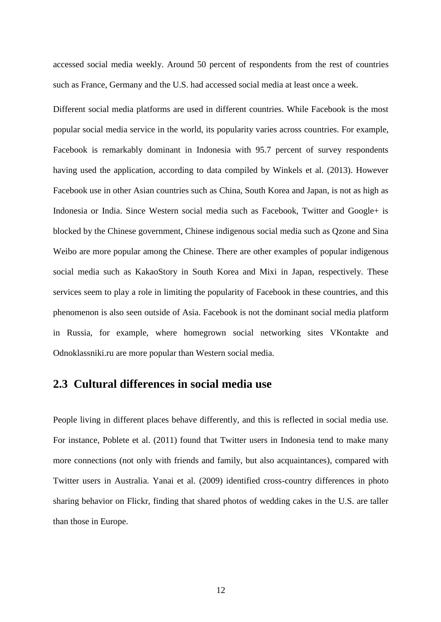accessed social media weekly. Around 50 percent of respondents from the rest of countries such as France, Germany and the U.S. had accessed social media at least once a week.

Different social media platforms are used in different countries. While Facebook is the most popular social media service in the world, its popularity varies across countries. For example, Facebook is remarkably dominant in Indonesia with 95.7 percent of survey respondents having used the application, according to data compiled by Winkels et al. (2013). However Facebook use in other Asian countries such as China, South Korea and Japan, is not as high as Indonesia or India. Since Western social media such as Facebook, Twitter and Google+ is blocked by the Chinese government, Chinese indigenous social media such as Qzone and Sina Weibo are more popular among the Chinese. There are other examples of popular indigenous social media such as KakaoStory in South Korea and Mixi in Japan, respectively. These services seem to play a role in limiting the popularity of Facebook in these countries, and this phenomenon is also seen outside of Asia. Facebook is not the dominant social media platform in Russia, for example, where homegrown social networking sites VKontakte and Odnoklassniki.ru are more popular than Western social media.

### <span id="page-13-0"></span>**2.3 Cultural differences in social media use**

People living in different places behave differently, and this is reflected in social media use. For instance, Poblete et al. (2011) found that Twitter users in Indonesia tend to make many more connections (not only with friends and family, but also acquaintances), compared with Twitter users in Australia. Yanai et al. (2009) identified cross-country differences in photo sharing behavior on Flickr, finding that shared photos of wedding cakes in the U.S. are taller than those in Europe.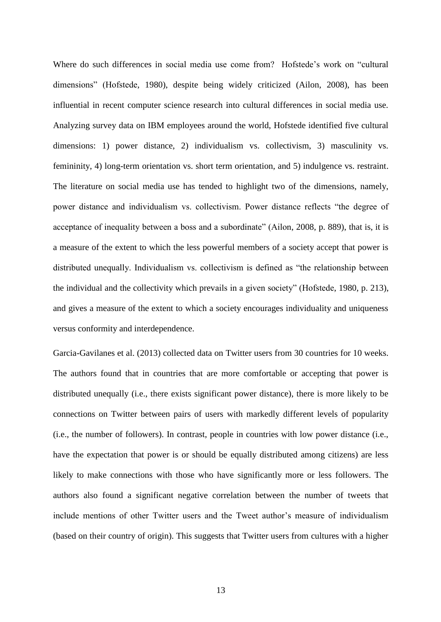Where do such differences in social media use come from? Hofstede's work on "cultural dimensions" (Hofstede, 1980), despite being widely criticized (Ailon, 2008), has been influential in recent computer science research into cultural differences in social media use. Analyzing survey data on IBM employees around the world, Hofstede identified five cultural dimensions: 1) power distance, 2) individualism vs. collectivism, 3) masculinity vs. femininity, 4) long-term orientation vs. short term orientation, and 5) indulgence vs. restraint. The literature on social media use has tended to highlight two of the dimensions, namely, power distance and individualism vs. collectivism. Power distance reflects "the degree of acceptance of inequality between a boss and a subordinate" (Ailon, 2008, p. 889), that is, it is a measure of the extent to which the less powerful members of a society accept that power is distributed unequally. Individualism vs. collectivism is defined as "the relationship between the individual and the collectivity which prevails in a given society" (Hofstede, 1980, p. 213), and gives a measure of the extent to which a society encourages individuality and uniqueness versus conformity and interdependence.

Garcia-Gavilanes et al. (2013) collected data on Twitter users from 30 countries for 10 weeks. The authors found that in countries that are more comfortable or accepting that power is distributed unequally (i.e., there exists significant power distance), there is more likely to be connections on Twitter between pairs of users with markedly different levels of popularity (i.e., the number of followers). In contrast, people in countries with low power distance (i.e., have the expectation that power is or should be equally distributed among citizens) are less likely to make connections with those who have significantly more or less followers. The authors also found a significant negative correlation between the number of tweets that include mentions of other Twitter users and the Tweet author's measure of individualism (based on their country of origin). This suggests that Twitter users from cultures with a higher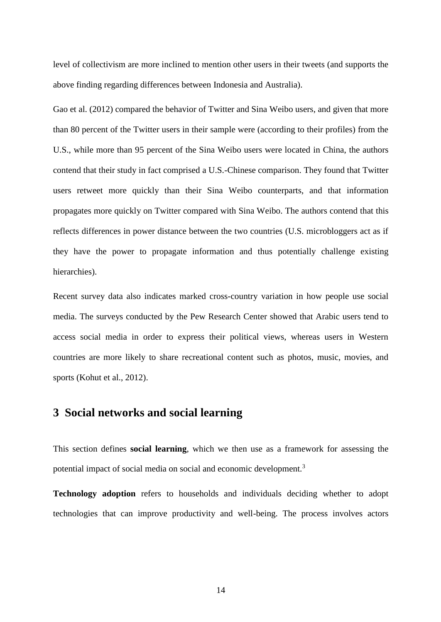level of collectivism are more inclined to mention other users in their tweets (and supports the above finding regarding differences between Indonesia and Australia).

Gao et al. (2012) compared the behavior of Twitter and Sina Weibo users, and given that more than 80 percent of the Twitter users in their sample were (according to their profiles) from the U.S., while more than 95 percent of the Sina Weibo users were located in China, the authors contend that their study in fact comprised a U.S.-Chinese comparison. They found that Twitter users retweet more quickly than their Sina Weibo counterparts, and that information propagates more quickly on Twitter compared with Sina Weibo. The authors contend that this reflects differences in power distance between the two countries (U.S. microbloggers act as if they have the power to propagate information and thus potentially challenge existing hierarchies).

Recent survey data also indicates marked cross-country variation in how people use social media. The surveys conducted by the Pew Research Center showed that Arabic users tend to access social media in order to express their political views, whereas users in Western countries are more likely to share recreational content such as photos, music, movies, and sports (Kohut et al., 2012).

## <span id="page-15-0"></span>**3 Social networks and social learning**

This section defines **social learning**, which we then use as a framework for assessing the potential impact of social media on social and economic development.<sup>3</sup>

**Technology adoption** refers to households and individuals deciding whether to adopt technologies that can improve productivity and well-being. The process involves actors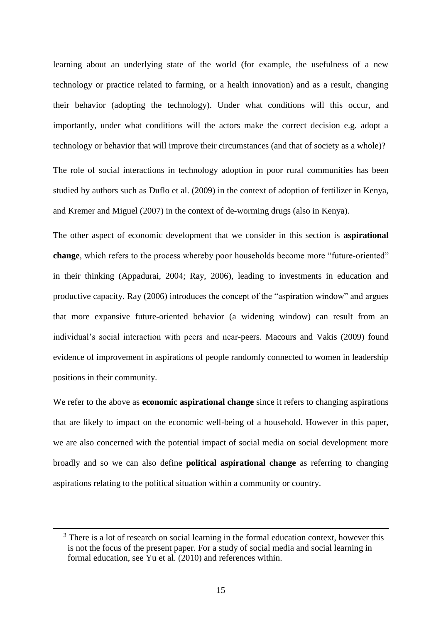learning about an underlying state of the world (for example, the usefulness of a new technology or practice related to farming, or a health innovation) and as a result, changing their behavior (adopting the technology). Under what conditions will this occur, and importantly, under what conditions will the actors make the correct decision e.g. adopt a technology or behavior that will improve their circumstances (and that of society as a whole)? The role of social interactions in technology adoption in poor rural communities has been studied by authors such as Duflo et al. (2009) in the context of adoption of fertilizer in Kenya,

and Kremer and Miguel (2007) in the context of de-worming drugs (also in Kenya).

The other aspect of economic development that we consider in this section is **aspirational change**, which refers to the process whereby poor households become more "future-oriented" in their thinking (Appadurai, 2004; Ray, 2006), leading to investments in education and productive capacity. Ray (2006) introduces the concept of the "aspiration window" and argues that more expansive future-oriented behavior (a widening window) can result from an individual's social interaction with peers and near-peers. Macours and Vakis (2009) found evidence of improvement in aspirations of people randomly connected to women in leadership positions in their community.

We refer to the above as **economic aspirational change** since it refers to changing aspirations that are likely to impact on the economic well-being of a household. However in this paper, we are also concerned with the potential impact of social media on social development more broadly and so we can also define **political aspirational change** as referring to changing aspirations relating to the political situation within a community or country.

<sup>&</sup>lt;sup>3</sup> There is a lot of research on social learning in the formal education context, however this is not the focus of the present paper. For a study of social media and social learning in formal education, see Yu et al. (2010) and references within.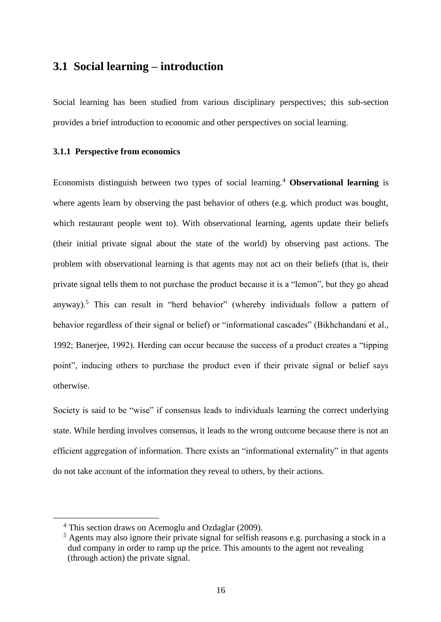## <span id="page-17-0"></span>**3.1 Social learning – introduction**

Social learning has been studied from various disciplinary perspectives; this sub-section provides a brief introduction to economic and other perspectives on social learning.

#### **3.1.1 Perspective from economics**

Economists distinguish between two types of social learning.<sup>4</sup> **Observational learning** is where agents learn by observing the past behavior of others (e.g. which product was bought, which restaurant people went to). With observational learning, agents update their beliefs (their initial private signal about the state of the world) by observing past actions. The problem with observational learning is that agents may not act on their beliefs (that is, their private signal tells them to not purchase the product because it is a "lemon", but they go ahead anyway).<sup>5</sup> This can result in "herd behavior" (whereby individuals follow a pattern of behavior regardless of their signal or belief) or "informational cascades" (Bikhchandani et al., 1992; Banerjee, 1992). Herding can occur because the success of a product creates a "tipping point", inducing others to purchase the product even if their private signal or belief says otherwise.

Society is said to be "wise" if consensus leads to individuals learning the correct underlying state. While herding involves consensus, it leads to the wrong outcome because there is not an efficient aggregation of information. There exists an "informational externality" in that agents do not take account of the information they reveal to others, by their actions.

<sup>4</sup> This section draws on Acemoglu and Ozdaglar (2009).

<sup>&</sup>lt;sup>5</sup> Agents may also ignore their private signal for selfish reasons e.g. purchasing a stock in a dud company in order to ramp up the price. This amounts to the agent not revealing (through action) the private signal.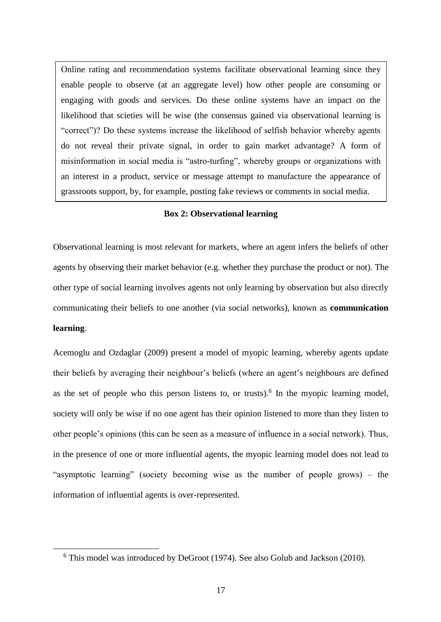Online rating and recommendation systems facilitate observational learning since they enable people to observe (at an aggregate level) how other people are consuming or engaging with goods and services. Do these online systems have an impact on the likelihood that scieties will be wise (the consensus gained via observational learning is "correct")? Do these systems increase the likelihood of selfish behavior whereby agents do not reveal their private signal, in order to gain market advantage? A form of misinformation in social media is "astro-turfing", whereby groups or organizations with an interest in a product, service or message attempt to manufacture the appearance of grassroots support, by, for example, posting fake reviews or comments in social media.

#### **Box 2: Observational learning**

<span id="page-18-0"></span>Observational learning is most relevant for markets, where an agent infers the beliefs of other agents by observing their market behavior (e.g. whether they purchase the product or not). The other type of social learning involves agents not only learning by observation but also directly communicating their beliefs to one another (via social networks), known as **communication learning**.

Acemoglu and Ozdaglar (2009) present a model of myopic learning, whereby agents update their beliefs by averaging their neighbour's beliefs (where an agent's neighbours are defined as the set of people who this person listens to, or trusts).<sup>6</sup> In the myopic learning model, society will only be wise if no one agent has their opinion listened to more than they listen to other people's opinions (this can be seen as a measure of influence in a social network). Thus, in the presence of one or more influential agents, the myopic learning model does not lead to "asymptotic learning" (society becoming wise as the number of people grows) – the information of influential agents is over-represented.

<sup>6</sup> This model was introduced by DeGroot (1974). See also Golub and Jackson (2010).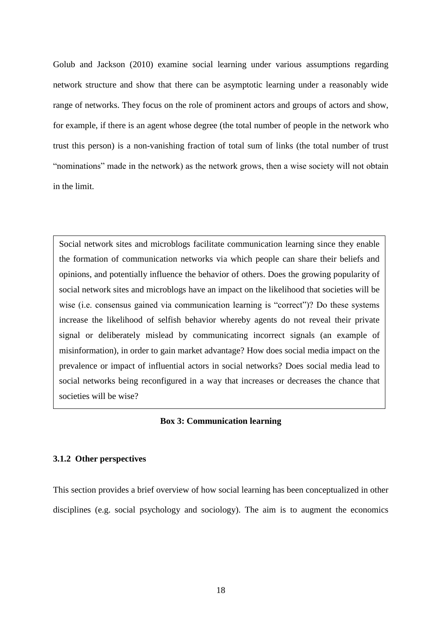Golub and Jackson (2010) examine social learning under various assumptions regarding network structure and show that there can be asymptotic learning under a reasonably wide range of networks. They focus on the role of prominent actors and groups of actors and show, for example, if there is an agent whose degree (the total number of people in the network who trust this person) is a non-vanishing fraction of total sum of links (the total number of trust "nominations" made in the network) as the network grows, then a wise society will not obtain in the limit.

Social network sites and microblogs facilitate communication learning since they enable the formation of communication networks via which people can share their beliefs and opinions, and potentially influence the behavior of others. Does the growing popularity of social network sites and microblogs have an impact on the likelihood that societies will be wise (i.e. consensus gained via communication learning is "correct")? Do these systems increase the likelihood of selfish behavior whereby agents do not reveal their private signal or deliberately mislead by communicating incorrect signals (an example of misinformation), in order to gain market advantage? How does social media impact on the prevalence or impact of influential actors in social networks? Does social media lead to social networks being reconfigured in a way that increases or decreases the chance that societies will be wise?

#### **Box 3: Communication learning**

#### <span id="page-19-0"></span>**3.1.2 Other perspectives**

This section provides a brief overview of how social learning has been conceptualized in other disciplines (e.g. social psychology and sociology). The aim is to augment the economics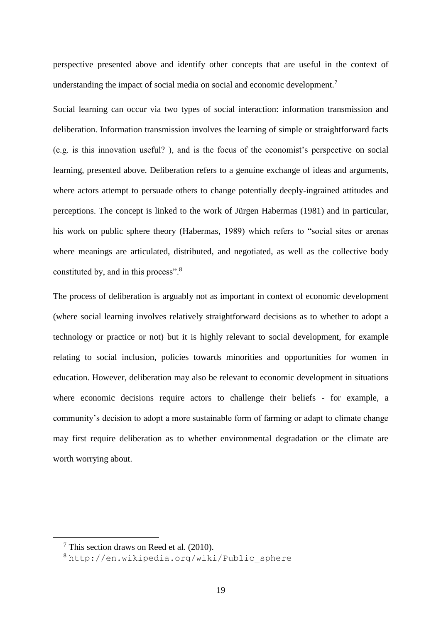perspective presented above and identify other concepts that are useful in the context of understanding the impact of social media on social and economic development.<sup>7</sup>

Social learning can occur via two types of social interaction: information transmission and deliberation. Information transmission involves the learning of simple or straightforward facts (e.g. is this innovation useful? ), and is the focus of the economist's perspective on social learning, presented above. Deliberation refers to a genuine exchange of ideas and arguments, where actors attempt to persuade others to change potentially deeply-ingrained attitudes and perceptions. The concept is linked to the work of Jürgen Habermas (1981) and in particular, his work on public sphere theory (Habermas, 1989) which refers to "social sites or arenas where meanings are articulated, distributed, and negotiated, as well as the collective body constituted by, and in this process".<sup>8</sup>

The process of deliberation is arguably not as important in context of economic development (where social learning involves relatively straightforward decisions as to whether to adopt a technology or practice or not) but it is highly relevant to social development, for example relating to social inclusion, policies towards minorities and opportunities for women in education. However, deliberation may also be relevant to economic development in situations where economic decisions require actors to challenge their beliefs - for example, a community's decision to adopt a more sustainable form of farming or adapt to climate change may first require deliberation as to whether environmental degradation or the climate are worth worrying about.

 $7$  This section draws on Reed et al. (2010).

<sup>8</sup> [http://en.wikipedia.org/wiki/Public\\_sphere](http://en.wikipedia.org/wiki/Public_sphere)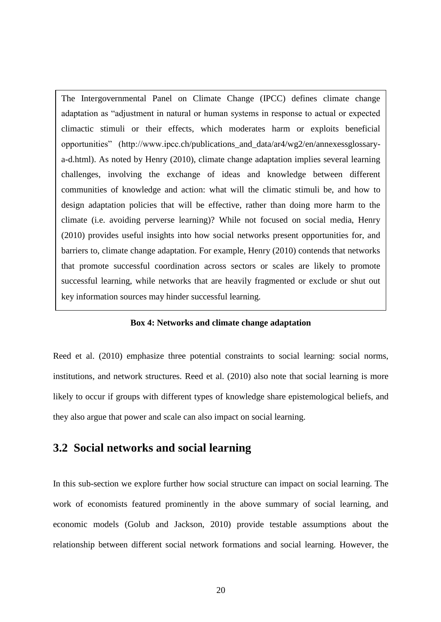The Intergovernmental Panel on Climate Change (IPCC) defines climate change adaptation as "adjustment in natural or human systems in response to actual or expected climactic stimuli or their effects, which moderates harm or exploits beneficial opportunities" (http://www.ipcc.ch/publications\_and\_data/ar4/wg2/en/annexessglossarya-d.html). As noted by Henry (2010), climate change adaptation implies several learning challenges, involving the exchange of ideas and knowledge between different communities of knowledge and action: what will the climatic stimuli be, and how to design adaptation policies that will be effective, rather than doing more harm to the climate (i.e. avoiding perverse learning)? While not focused on social media, Henry (2010) provides useful insights into how social networks present opportunities for, and barriers to, climate change adaptation. For example, Henry (2010) contends that networks that promote successful coordination across sectors or scales are likely to promote successful learning, while networks that are heavily fragmented or exclude or shut out key information sources may hinder successful learning.

#### **Box 4: Networks and climate change adaptation**

<span id="page-21-1"></span>Reed et al. (2010) emphasize three potential constraints to social learning: social norms, institutions, and network structures. Reed et al. (2010) also note that social learning is more likely to occur if groups with different types of knowledge share epistemological beliefs, and they also argue that power and scale can also impact on social learning.

## <span id="page-21-0"></span>**3.2 Social networks and social learning**

In this sub-section we explore further how social structure can impact on social learning. The work of economists featured prominently in the above summary of social learning, and economic models (Golub and Jackson, 2010) provide testable assumptions about the relationship between different social network formations and social learning. However, the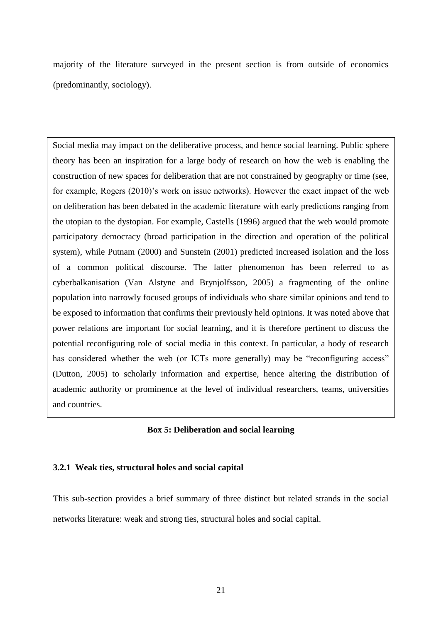majority of the literature surveyed in the present section is from outside of economics (predominantly, sociology).

Social media may impact on the deliberative process, and hence social learning. Public sphere theory has been an inspiration for a large body of research on how the web is enabling the construction of new spaces for deliberation that are not constrained by geography or time (see, for example, Rogers (2010)'s work on issue networks). However the exact impact of the web on deliberation has been debated in the academic literature with early predictions ranging from the utopian to the dystopian. For example, Castells (1996) argued that the web would promote participatory democracy (broad participation in the direction and operation of the political system), while Putnam (2000) and Sunstein (2001) predicted increased isolation and the loss of a common political discourse. The latter phenomenon has been referred to as cyberbalkanisation (Van Alstyne and Brynjolfsson, 2005) a fragmenting of the online population into narrowly focused groups of individuals who share similar opinions and tend to be exposed to information that confirms their previously held opinions. It was noted above that power relations are important for social learning, and it is therefore pertinent to discuss the potential reconfiguring role of social media in this context. In particular, a body of research has considered whether the web (or ICTs more generally) may be "reconfiguring access" (Dutton, 2005) to scholarly information and expertise, hence altering the distribution of academic authority or prominence at the level of individual researchers, teams, universities and countries.

#### **Box 5: Deliberation and social learning**

#### <span id="page-22-0"></span>**3.2.1 Weak ties, structural holes and social capital**

This sub-section provides a brief summary of three distinct but related strands in the social networks literature: weak and strong ties, structural holes and social capital.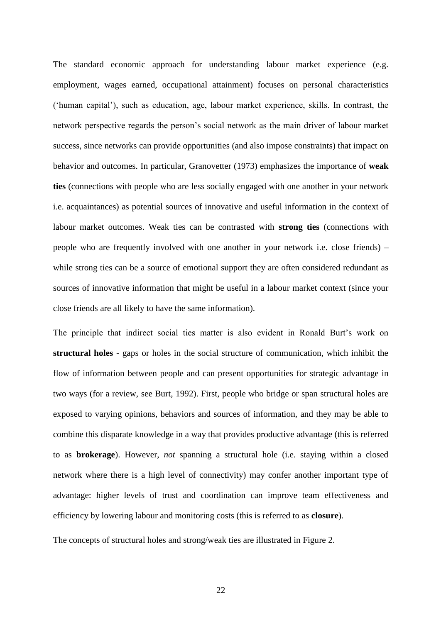The standard economic approach for understanding labour market experience (e.g. employment, wages earned, occupational attainment) focuses on personal characteristics ('human capital'), such as education, age, labour market experience, skills. In contrast, the network perspective regards the person's social network as the main driver of labour market success, since networks can provide opportunities (and also impose constraints) that impact on behavior and outcomes. In particular, Granovetter (1973) emphasizes the importance of **weak ties** (connections with people who are less socially engaged with one another in your network i.e. acquaintances) as potential sources of innovative and useful information in the context of labour market outcomes. Weak ties can be contrasted with **strong ties** (connections with people who are frequently involved with one another in your network i.e. close friends) – while strong ties can be a source of emotional support they are often considered redundant as sources of innovative information that might be useful in a labour market context (since your close friends are all likely to have the same information).

The principle that indirect social ties matter is also evident in Ronald Burt's work on **structural holes** - gaps or holes in the social structure of communication, which inhibit the flow of information between people and can present opportunities for strategic advantage in two ways (for a review, see Burt, 1992). First, people who bridge or span structural holes are exposed to varying opinions, behaviors and sources of information, and they may be able to combine this disparate knowledge in a way that provides productive advantage (this is referred to as **brokerage**). However, *not* spanning a structural hole (i.e. staying within a closed network where there is a high level of connectivity) may confer another important type of advantage: higher levels of trust and coordination can improve team effectiveness and efficiency by lowering labour and monitoring costs (this is referred to as **closure**).

The concepts of structural holes and strong/weak ties are illustrated in Figure 2.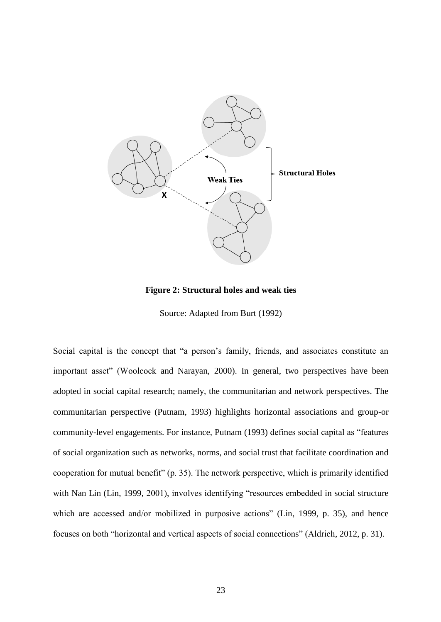

**Figure 2: Structural holes and weak ties**

Source: Adapted from Burt (1992)

<span id="page-24-0"></span>Social capital is the concept that "a person's family, friends, and associates constitute an important asset" (Woolcock and Narayan, 2000). In general, two perspectives have been adopted in social capital research; namely, the communitarian and network perspectives. The communitarian perspective (Putnam, 1993) highlights horizontal associations and group-or community-level engagements. For instance, Putnam (1993) defines social capital as "features of social organization such as networks, norms, and social trust that facilitate coordination and cooperation for mutual benefit" (p. 35). The network perspective, which is primarily identified with Nan Lin (Lin, 1999, 2001), involves identifying "resources embedded in social structure which are accessed and/or mobilized in purposive actions" (Lin, 1999, p. 35), and hence focuses on both "horizontal and vertical aspects of social connections" (Aldrich, 2012, p. 31).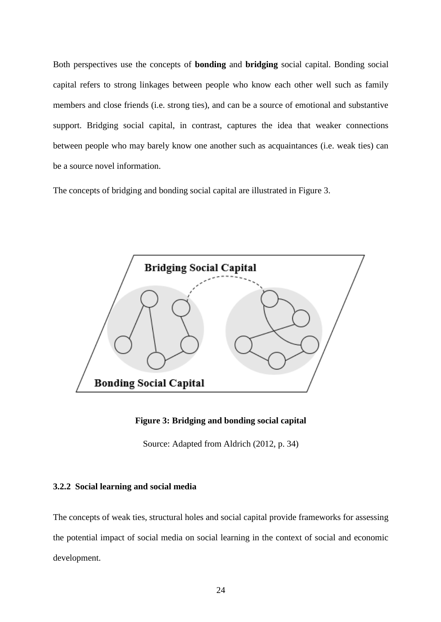Both perspectives use the concepts of **bonding** and **bridging** social capital. Bonding social capital refers to strong linkages between people who know each other well such as family members and close friends (i.e. strong ties), and can be a source of emotional and substantive support. Bridging social capital, in contrast, captures the idea that weaker connections between people who may barely know one another such as acquaintances (i.e. weak ties) can be a source novel information.

The concepts of bridging and bonding social capital are illustrated in Figure 3.



**Figure 3: Bridging and bonding social capital**

Source: Adapted from Aldrich (2012, p. 34)

#### <span id="page-25-0"></span>**3.2.2 Social learning and social media**

The concepts of weak ties, structural holes and social capital provide frameworks for assessing the potential impact of social media on social learning in the context of social and economic development.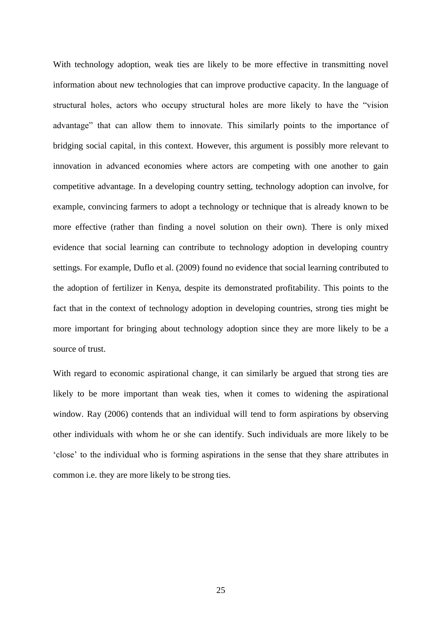With technology adoption, weak ties are likely to be more effective in transmitting novel information about new technologies that can improve productive capacity. In the language of structural holes, actors who occupy structural holes are more likely to have the "vision advantage" that can allow them to innovate. This similarly points to the importance of bridging social capital, in this context. However, this argument is possibly more relevant to innovation in advanced economies where actors are competing with one another to gain competitive advantage. In a developing country setting, technology adoption can involve, for example, convincing farmers to adopt a technology or technique that is already known to be more effective (rather than finding a novel solution on their own). There is only mixed evidence that social learning can contribute to technology adoption in developing country settings. For example, Duflo et al. (2009) found no evidence that social learning contributed to the adoption of fertilizer in Kenya, despite its demonstrated profitability. This points to the fact that in the context of technology adoption in developing countries, strong ties might be more important for bringing about technology adoption since they are more likely to be a source of trust.

With regard to economic aspirational change, it can similarly be argued that strong ties are likely to be more important than weak ties, when it comes to widening the aspirational window. Ray (2006) contends that an individual will tend to form aspirations by observing other individuals with whom he or she can identify. Such individuals are more likely to be 'close' to the individual who is forming aspirations in the sense that they share attributes in common i.e. they are more likely to be strong ties.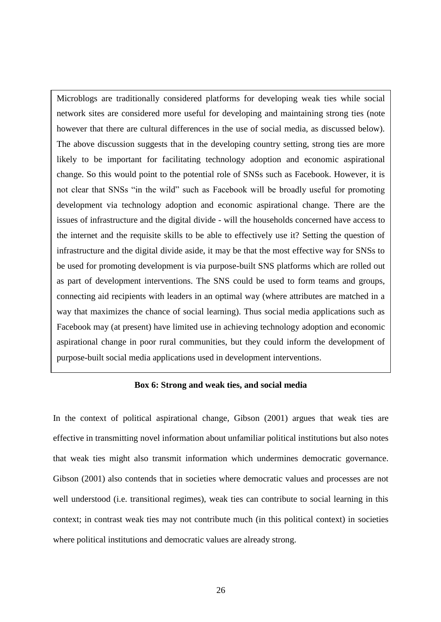Microblogs are traditionally considered platforms for developing weak ties while social network sites are considered more useful for developing and maintaining strong ties (note however that there are cultural differences in the use of social media, as discussed below). The above discussion suggests that in the developing country setting, strong ties are more likely to be important for facilitating technology adoption and economic aspirational change. So this would point to the potential role of SNSs such as Facebook. However, it is not clear that SNSs "in the wild" such as Facebook will be broadly useful for promoting development via technology adoption and economic aspirational change. There are the issues of infrastructure and the digital divide - will the households concerned have access to the internet and the requisite skills to be able to effectively use it? Setting the question of infrastructure and the digital divide aside, it may be that the most effective way for SNSs to be used for promoting development is via purpose-built SNS platforms which are rolled out as part of development interventions. The SNS could be used to form teams and groups, connecting aid recipients with leaders in an optimal way (where attributes are matched in a way that maximizes the chance of social learning). Thus social media applications such as Facebook may (at present) have limited use in achieving technology adoption and economic aspirational change in poor rural communities, but they could inform the development of purpose-built social media applications used in development interventions.

#### **Box 6: Strong and weak ties, and social media**

<span id="page-27-0"></span>In the context of political aspirational change, Gibson (2001) argues that weak ties are effective in transmitting novel information about unfamiliar political institutions but also notes that weak ties might also transmit information which undermines democratic governance. Gibson (2001) also contends that in societies where democratic values and processes are not well understood (i.e. transitional regimes), weak ties can contribute to social learning in this context; in contrast weak ties may not contribute much (in this political context) in societies where political institutions and democratic values are already strong.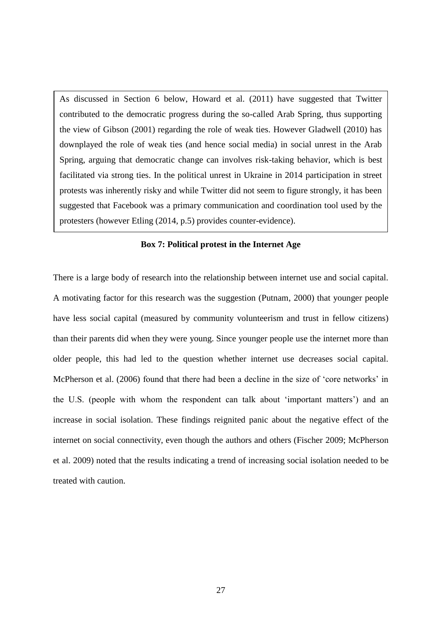As discussed in Section 6 below, Howard et al. (2011) have suggested that Twitter contributed to the democratic progress during the so-called Arab Spring, thus supporting the view of Gibson (2001) regarding the role of weak ties. However Gladwell (2010) has downplayed the role of weak ties (and hence social media) in social unrest in the Arab Spring, arguing that democratic change can involves risk-taking behavior, which is best facilitated via strong ties. In the political unrest in Ukraine in 2014 participation in street protests was inherently risky and while Twitter did not seem to figure strongly, it has been suggested that Facebook was a primary communication and coordination tool used by the protesters (however Etling (2014, p.5) provides counter-evidence).

#### **Box 7: Political protest in the Internet Age**

<span id="page-28-0"></span>There is a large body of research into the relationship between internet use and social capital. A motivating factor for this research was the suggestion (Putnam, 2000) that younger people have less social capital (measured by community volunteerism and trust in fellow citizens) than their parents did when they were young. Since younger people use the internet more than older people, this had led to the question whether internet use decreases social capital. McPherson et al. (2006) found that there had been a decline in the size of 'core networks' in the U.S. (people with whom the respondent can talk about 'important matters') and an increase in social isolation. These findings reignited panic about the negative effect of the internet on social connectivity, even though the authors and others (Fischer 2009; McPherson et al. 2009) noted that the results indicating a trend of increasing social isolation needed to be treated with caution.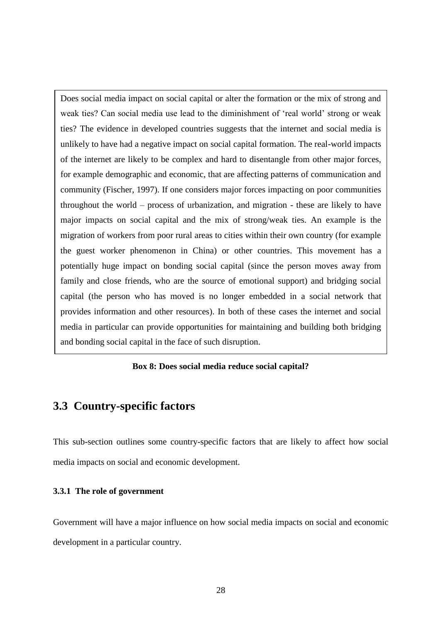Does social media impact on social capital or alter the formation or the mix of strong and weak ties? Can social media use lead to the diminishment of 'real world' strong or weak ties? The evidence in developed countries suggests that the internet and social media is unlikely to have had a negative impact on social capital formation. The real-world impacts of the internet are likely to be complex and hard to disentangle from other major forces, for example demographic and economic, that are affecting patterns of communication and community (Fischer, 1997). If one considers major forces impacting on poor communities throughout the world – process of urbanization, and migration - these are likely to have major impacts on social capital and the mix of strong/weak ties. An example is the migration of workers from poor rural areas to cities within their own country (for example the guest worker phenomenon in China) or other countries. This movement has a potentially huge impact on bonding social capital (since the person moves away from family and close friends, who are the source of emotional support) and bridging social capital (the person who has moved is no longer embedded in a social network that provides information and other resources). In both of these cases the internet and social media in particular can provide opportunities for maintaining and building both bridging and bonding social capital in the face of such disruption.

#### **Box 8: Does social media reduce social capital?**

## <span id="page-29-1"></span><span id="page-29-0"></span>**3.3 Country-specific factors**

This sub-section outlines some country-specific factors that are likely to affect how social media impacts on social and economic development.

#### **3.3.1 The role of government**

Government will have a major influence on how social media impacts on social and economic development in a particular country.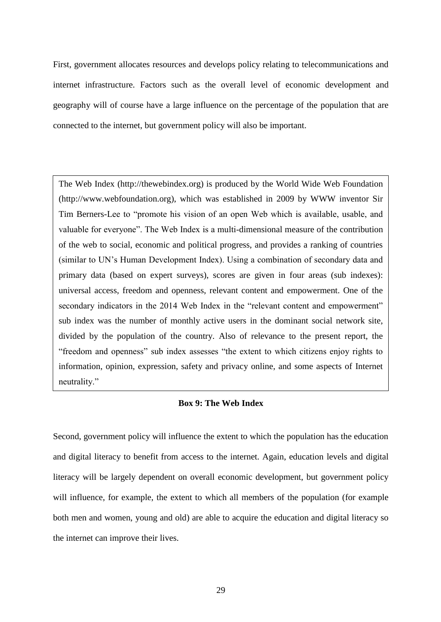First, government allocates resources and develops policy relating to telecommunications and internet infrastructure. Factors such as the overall level of economic development and geography will of course have a large influence on the percentage of the population that are connected to the internet, but government policy will also be important.

The Web Index (http://thewebindex.org) is produced by the World Wide Web Foundation (http://www.webfoundation.org), which was established in 2009 by WWW inventor Sir Tim Berners-Lee to "promote his vision of an open Web which is available, usable, and valuable for everyone". The Web Index is a multi-dimensional measure of the contribution of the web to social, economic and political progress, and provides a ranking of countries (similar to UN's Human Development Index). Using a combination of secondary data and primary data (based on expert surveys), scores are given in four areas (sub indexes): universal access, freedom and openness, relevant content and empowerment. One of the secondary indicators in the 2014 Web Index in the "relevant content and empowerment" sub index was the number of monthly active users in the dominant social network site, divided by the population of the country. Also of relevance to the present report, the "freedom and openness" sub index assesses "the extent to which citizens enjoy rights to information, opinion, expression, safety and privacy online, and some aspects of Internet neutrality."

#### **Box 9: The Web Index**

<span id="page-30-0"></span>Second, government policy will influence the extent to which the population has the education and digital literacy to benefit from access to the internet. Again, education levels and digital literacy will be largely dependent on overall economic development, but government policy will influence, for example, the extent to which all members of the population (for example both men and women, young and old) are able to acquire the education and digital literacy so the internet can improve their lives.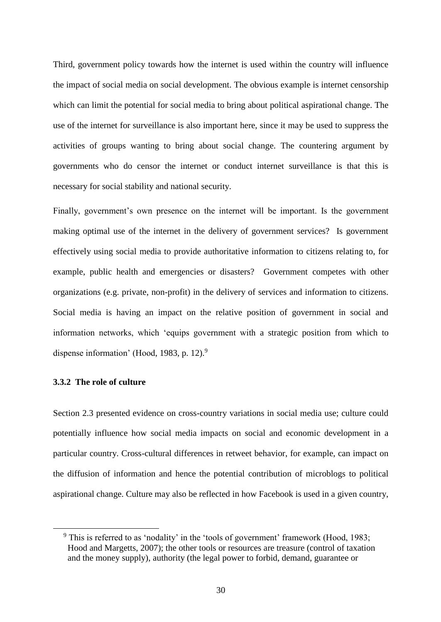Third, government policy towards how the internet is used within the country will influence the impact of social media on social development. The obvious example is internet censorship which can limit the potential for social media to bring about political aspirational change. The use of the internet for surveillance is also important here, since it may be used to suppress the activities of groups wanting to bring about social change. The countering argument by governments who do censor the internet or conduct internet surveillance is that this is necessary for social stability and national security.

Finally, government's own presence on the internet will be important. Is the government making optimal use of the internet in the delivery of government services? Is government effectively using social media to provide authoritative information to citizens relating to, for example, public health and emergencies or disasters? Government competes with other organizations (e.g. private, non-profit) in the delivery of services and information to citizens. Social media is having an impact on the relative position of government in social and information networks, which 'equips government with a strategic position from which to dispense information' (Hood, 1983, p. 12).<sup>9</sup>

#### **3.3.2 The role of culture**

 $\overline{a}$ 

Section 2.3 presented evidence on cross-country variations in social media use; culture could potentially influence how social media impacts on social and economic development in a particular country. Cross-cultural differences in retweet behavior, for example, can impact on the diffusion of information and hence the potential contribution of microblogs to political aspirational change. Culture may also be reflected in how Facebook is used in a given country,

<sup>9</sup> This is referred to as 'nodality' in the 'tools of government' framework (Hood, 1983; Hood and Margetts, 2007); the other tools or resources are treasure (control of taxation and the money supply), authority (the legal power to forbid, demand, guarantee or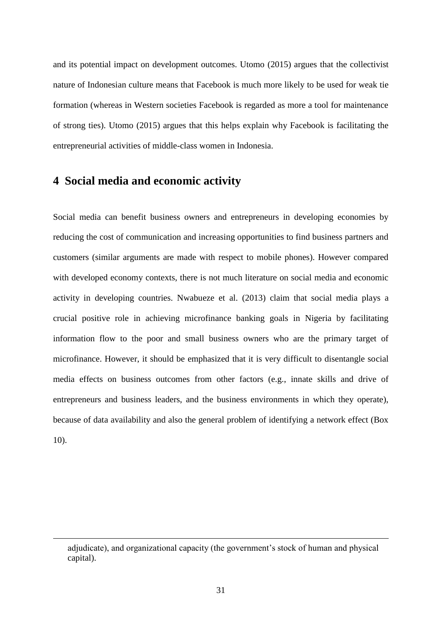and its potential impact on development outcomes. Utomo (2015) argues that the collectivist nature of Indonesian culture means that Facebook is much more likely to be used for weak tie formation (whereas in Western societies Facebook is regarded as more a tool for maintenance of strong ties). Utomo (2015) argues that this helps explain why Facebook is facilitating the entrepreneurial activities of middle-class women in Indonesia.

#### <span id="page-32-0"></span>**4 Social media and economic activity**

 $\overline{a}$ 

Social media can benefit business owners and entrepreneurs in developing economies by reducing the cost of communication and increasing opportunities to find business partners and customers (similar arguments are made with respect to mobile phones). However compared with developed economy contexts, there is not much literature on social media and economic activity in developing countries. Nwabueze et al. (2013) claim that social media plays a crucial positive role in achieving microfinance banking goals in Nigeria by facilitating information flow to the poor and small business owners who are the primary target of microfinance. However, it should be emphasized that it is very difficult to disentangle social media effects on business outcomes from other factors (e.g., innate skills and drive of entrepreneurs and business leaders, and the business environments in which they operate), because of data availability and also the general problem of identifying a network effect (Box 10).

adjudicate), and organizational capacity (the government's stock of human and physical capital).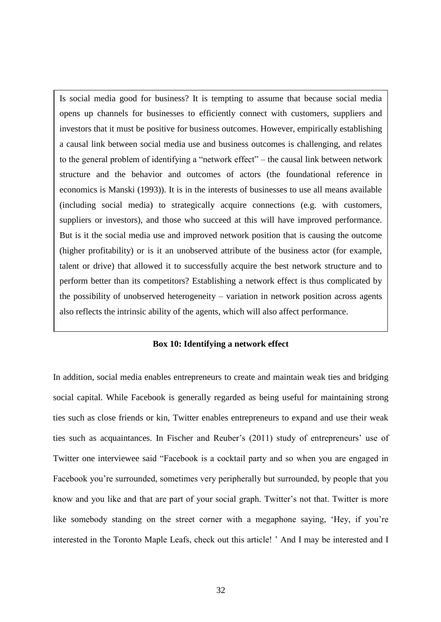Is social media good for business? It is tempting to assume that because social media opens up channels for businesses to efficiently connect with customers, suppliers and investors that it must be positive for business outcomes. However, empirically establishing a causal link between social media use and business outcomes is challenging, and relates to the general problem of identifying a "network effect" – the causal link between network structure and the behavior and outcomes of actors (the foundational reference in economics is Manski (1993)). It is in the interests of businesses to use all means available (including social media) to strategically acquire connections (e.g. with customers, suppliers or investors), and those who succeed at this will have improved performance. But is it the social media use and improved network position that is causing the outcome (higher profitability) or is it an unobserved attribute of the business actor (for example, talent or drive) that allowed it to successfully acquire the best network structure and to perform better than its competitors? Establishing a network effect is thus complicated by the possibility of unobserved heterogeneity – variation in network position across agents also reflects the intrinsic ability of the agents, which will also affect performance.

#### **Box 10: Identifying a network effect**

<span id="page-33-0"></span>In addition, social media enables entrepreneurs to create and maintain weak ties and bridging social capital. While Facebook is generally regarded as being useful for maintaining strong ties such as close friends or kin, Twitter enables entrepreneurs to expand and use their weak ties such as acquaintances. In Fischer and Reuber's (2011) study of entrepreneurs' use of Twitter one interviewee said "Facebook is a cocktail party and so when you are engaged in Facebook you're surrounded, sometimes very peripherally but surrounded, by people that you know and you like and that are part of your social graph. Twitter's not that. Twitter is more like somebody standing on the street corner with a megaphone saying, 'Hey, if you're interested in the Toronto Maple Leafs, check out this article! ' And I may be interested and I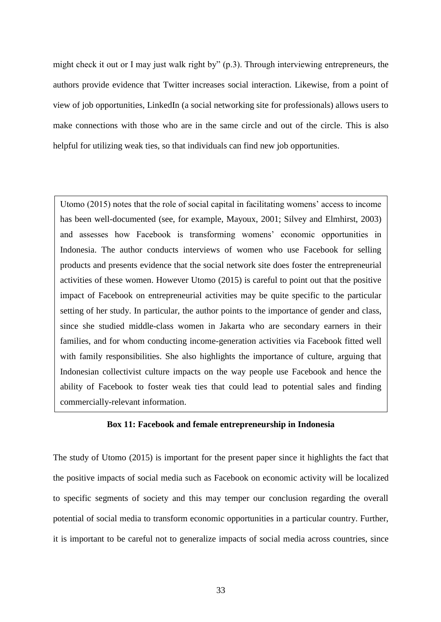might check it out or I may just walk right by" (p.3). Through interviewing entrepreneurs, the authors provide evidence that Twitter increases social interaction. Likewise, from a point of view of job opportunities, LinkedIn (a social networking site for professionals) allows users to make connections with those who are in the same circle and out of the circle. This is also helpful for utilizing weak ties, so that individuals can find new job opportunities.

Utomo (2015) notes that the role of social capital in facilitating womens' access to income has been well-documented (see, for example, Mayoux, 2001; Silvey and Elmhirst, 2003) and assesses how Facebook is transforming womens' economic opportunities in Indonesia. The author conducts interviews of women who use Facebook for selling products and presents evidence that the social network site does foster the entrepreneurial activities of these women. However Utomo (2015) is careful to point out that the positive impact of Facebook on entrepreneurial activities may be quite specific to the particular setting of her study. In particular, the author points to the importance of gender and class, since she studied middle-class women in Jakarta who are secondary earners in their families, and for whom conducting income-generation activities via Facebook fitted well with family responsibilities. She also highlights the importance of culture, arguing that Indonesian collectivist culture impacts on the way people use Facebook and hence the ability of Facebook to foster weak ties that could lead to potential sales and finding commercially-relevant information.

#### **Box 11: Facebook and female entrepreneurship in Indonesia**

<span id="page-34-0"></span>The study of Utomo (2015) is important for the present paper since it highlights the fact that the positive impacts of social media such as Facebook on economic activity will be localized to specific segments of society and this may temper our conclusion regarding the overall potential of social media to transform economic opportunities in a particular country. Further, it is important to be careful not to generalize impacts of social media across countries, since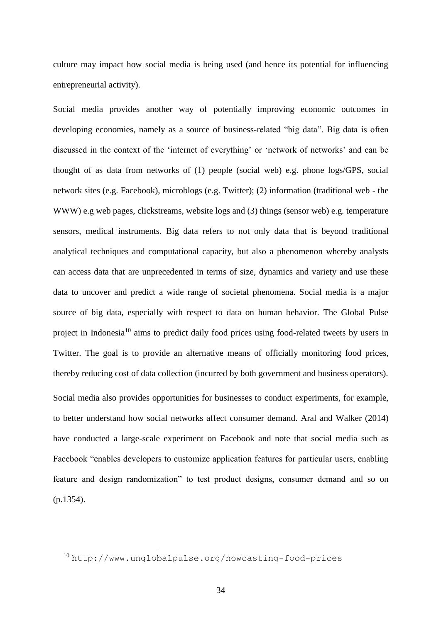culture may impact how social media is being used (and hence its potential for influencing entrepreneurial activity).

Social media provides another way of potentially improving economic outcomes in developing economies, namely as a source of business-related "big data". Big data is often discussed in the context of the 'internet of everything' or 'network of networks' and can be thought of as data from networks of (1) people (social web) e.g. phone logs/GPS, social network sites (e.g. Facebook), microblogs (e.g. Twitter); (2) information (traditional web - the WWW) e.g web pages, clickstreams, website logs and (3) things (sensor web) e.g. temperature sensors, medical instruments. Big data refers to not only data that is beyond traditional analytical techniques and computational capacity, but also a phenomenon whereby analysts can access data that are unprecedented in terms of size, dynamics and variety and use these data to uncover and predict a wide range of societal phenomena. Social media is a major source of big data, especially with respect to data on human behavior. The Global Pulse project in Indonesia<sup>10</sup> aims to predict daily food prices using food-related tweets by users in Twitter. The goal is to provide an alternative means of officially monitoring food prices, thereby reducing cost of data collection (incurred by both government and business operators). Social media also provides opportunities for businesses to conduct experiments, for example, to better understand how social networks affect consumer demand. Aral and Walker (2014) have conducted a large-scale experiment on Facebook and note that social media such as Facebook "enables developers to customize application features for particular users, enabling feature and design randomization" to test product designs, consumer demand and so on (p.1354).

<sup>10</sup> <http://www.unglobalpulse.org/nowcasting-food-prices>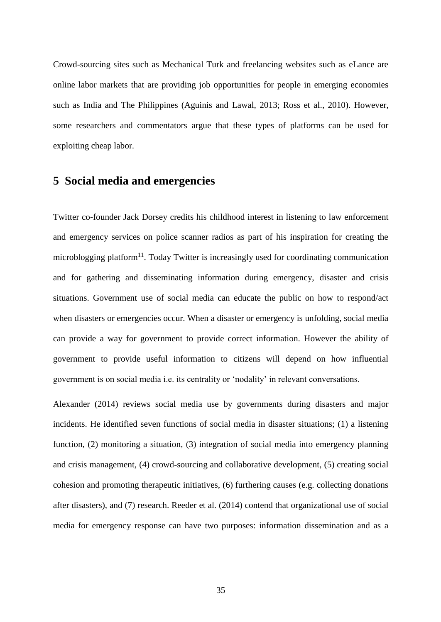Crowd-sourcing sites such as Mechanical Turk and freelancing websites such as eLance are online labor markets that are providing job opportunities for people in emerging economies such as India and The Philippines (Aguinis and Lawal, 2013; Ross et al., 2010). However, some researchers and commentators argue that these types of platforms can be used for exploiting cheap labor.

#### <span id="page-36-0"></span>**5 Social media and emergencies**

Twitter co-founder Jack Dorsey credits his childhood interest in listening to law enforcement and emergency services on police scanner radios as part of his inspiration for creating the microblogging platform<sup>11</sup>. Today Twitter is increasingly used for coordinating communication and for gathering and disseminating information during emergency, disaster and crisis situations. Government use of social media can educate the public on how to respond/act when disasters or emergencies occur. When a disaster or emergency is unfolding, social media can provide a way for government to provide correct information. However the ability of government to provide useful information to citizens will depend on how influential government is on social media i.e. its centrality or 'nodality' in relevant conversations.

Alexander (2014) reviews social media use by governments during disasters and major incidents. He identified seven functions of social media in disaster situations; (1) a listening function, (2) monitoring a situation, (3) integration of social media into emergency planning and crisis management, (4) crowd-sourcing and collaborative development, (5) creating social cohesion and promoting therapeutic initiatives, (6) furthering causes (e.g. collecting donations after disasters), and (7) research. Reeder et al. (2014) contend that organizational use of social media for emergency response can have two purposes: information dissemination and as a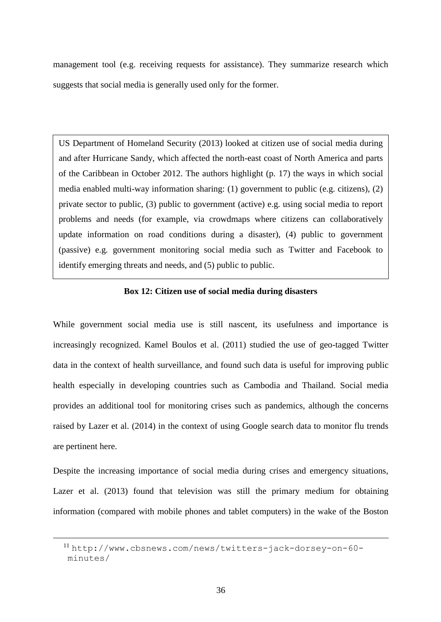management tool (e.g. receiving requests for assistance). They summarize research which suggests that social media is generally used only for the former.

US Department of Homeland Security (2013) looked at citizen use of social media during and after Hurricane Sandy, which affected the north-east coast of North America and parts of the Caribbean in October 2012. The authors highlight (p. 17) the ways in which social media enabled multi-way information sharing: (1) government to public (e.g. citizens), (2) private sector to public, (3) public to government (active) e.g. using social media to report problems and needs (for example, via crowdmaps where citizens can collaboratively update information on road conditions during a disaster), (4) public to government (passive) e.g. government monitoring social media such as Twitter and Facebook to identify emerging threats and needs, and (5) public to public.

#### **Box 12: Citizen use of social media during disasters**

<span id="page-37-0"></span>While government social media use is still nascent, its usefulness and importance is increasingly recognized. Kamel Boulos et al. (2011) studied the use of geo-tagged Twitter data in the context of health surveillance, and found such data is useful for improving public health especially in developing countries such as Cambodia and Thailand. Social media provides an additional tool for monitoring crises such as pandemics, although the concerns raised by Lazer et al. (2014) in the context of using Google search data to monitor flu trends are pertinent here.

Despite the increasing importance of social media during crises and emergency situations, Lazer et al. (2013) found that television was still the primary medium for obtaining information (compared with mobile phones and tablet computers) in the wake of the Boston

<sup>11</sup> [http://www.cbsnews.com/news/twitters-jack-dorsey-on-60](http://www.cbsnews.com/news/twitters-jack-dorsey-on-60-minutes/) [minutes/](http://www.cbsnews.com/news/twitters-jack-dorsey-on-60-minutes/)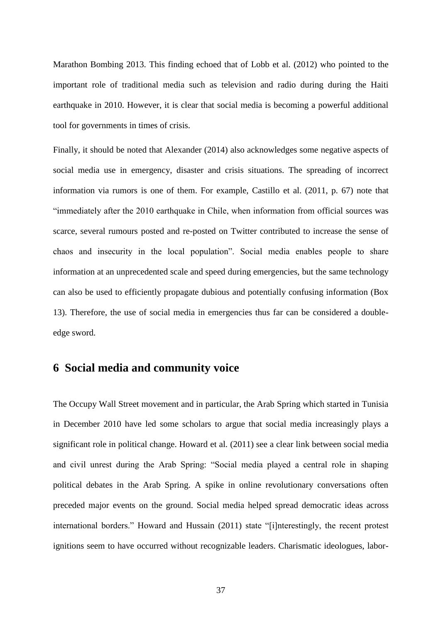Marathon Bombing 2013. This finding echoed that of Lobb et al. (2012) who pointed to the important role of traditional media such as television and radio during during the Haiti earthquake in 2010. However, it is clear that social media is becoming a powerful additional tool for governments in times of crisis.

Finally, it should be noted that Alexander (2014) also acknowledges some negative aspects of social media use in emergency, disaster and crisis situations. The spreading of incorrect information via rumors is one of them. For example, Castillo et al. (2011, p. 67) note that "immediately after the 2010 earthquake in Chile, when information from official sources was scarce, several rumours posted and re-posted on Twitter contributed to increase the sense of chaos and insecurity in the local population". Social media enables people to share information at an unprecedented scale and speed during emergencies, but the same technology can also be used to efficiently propagate dubious and potentially confusing information (Box 13). Therefore, the use of social media in emergencies thus far can be considered a doubleedge sword.

## <span id="page-38-0"></span>**6 Social media and community voice**

The Occupy Wall Street movement and in particular, the Arab Spring which started in Tunisia in December 2010 have led some scholars to argue that social media increasingly plays a significant role in political change. Howard et al. (2011) see a clear link between social media and civil unrest during the Arab Spring: "Social media played a central role in shaping political debates in the Arab Spring. A spike in online revolutionary conversations often preceded major events on the ground. Social media helped spread democratic ideas across international borders." Howard and Hussain (2011) state "[i]nterestingly, the recent protest ignitions seem to have occurred without recognizable leaders. Charismatic ideologues, labor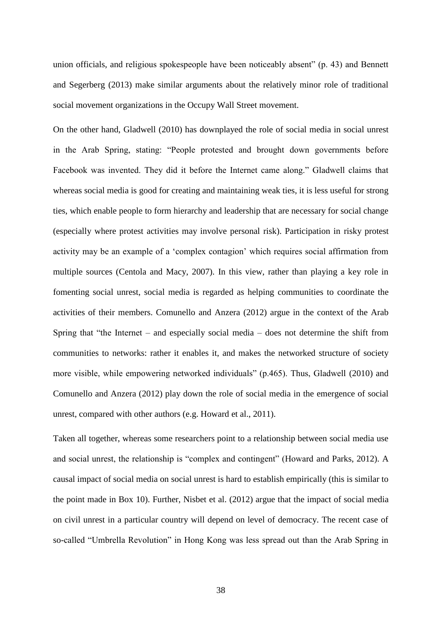union officials, and religious spokespeople have been noticeably absent" (p. 43) and Bennett and Segerberg (2013) make similar arguments about the relatively minor role of traditional social movement organizations in the Occupy Wall Street movement.

On the other hand, Gladwell (2010) has downplayed the role of social media in social unrest in the Arab Spring, stating: "People protested and brought down governments before Facebook was invented. They did it before the Internet came along." Gladwell claims that whereas social media is good for creating and maintaining weak ties, it is less useful for strong ties, which enable people to form hierarchy and leadership that are necessary for social change (especially where protest activities may involve personal risk). Participation in risky protest activity may be an example of a 'complex contagion' which requires social affirmation from multiple sources (Centola and Macy, 2007). In this view, rather than playing a key role in fomenting social unrest, social media is regarded as helping communities to coordinate the activities of their members. Comunello and Anzera (2012) argue in the context of the Arab Spring that "the Internet – and especially social media – does not determine the shift from communities to networks: rather it enables it, and makes the networked structure of society more visible, while empowering networked individuals" (p.465). Thus, Gladwell (2010) and Comunello and Anzera (2012) play down the role of social media in the emergence of social unrest, compared with other authors (e.g. Howard et al., 2011).

Taken all together, whereas some researchers point to a relationship between social media use and social unrest, the relationship is "complex and contingent" (Howard and Parks, 2012). A causal impact of social media on social unrest is hard to establish empirically (this is similar to the point made in Box 10). Further, Nisbet et al. (2012) argue that the impact of social media on civil unrest in a particular country will depend on level of democracy. The recent case of so-called "Umbrella Revolution" in Hong Kong was less spread out than the Arab Spring in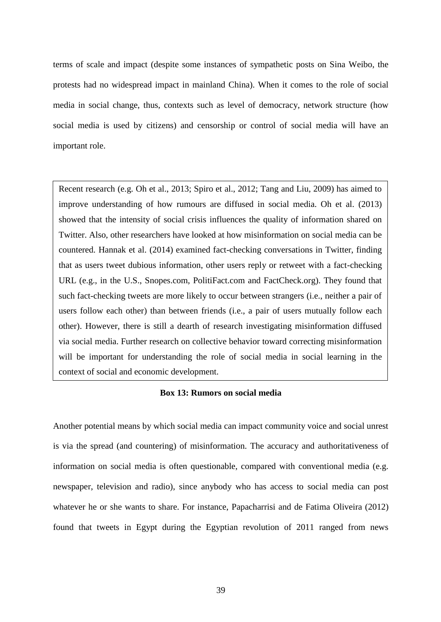terms of scale and impact (despite some instances of sympathetic posts on Sina Weibo, the protests had no widespread impact in mainland China). When it comes to the role of social media in social change, thus, contexts such as level of democracy, network structure (how social media is used by citizens) and censorship or control of social media will have an important role.

Recent research (e.g. Oh et al., 2013; Spiro et al., 2012; Tang and Liu, 2009) has aimed to improve understanding of how rumours are diffused in social media. Oh et al. (2013) showed that the intensity of social crisis influences the quality of information shared on Twitter. Also, other researchers have looked at how misinformation on social media can be countered. Hannak et al. (2014) examined fact-checking conversations in Twitter, finding that as users tweet dubious information, other users reply or retweet with a fact-checking URL (e.g., in the U.S., Snopes.com, PolitiFact.com and FactCheck.org). They found that such fact-checking tweets are more likely to occur between strangers (i.e., neither a pair of users follow each other) than between friends (i.e., a pair of users mutually follow each other). However, there is still a dearth of research investigating misinformation diffused via social media. Further research on collective behavior toward correcting misinformation will be important for understanding the role of social media in social learning in the context of social and economic development.

#### **Box 13: Rumors on social media**

<span id="page-40-0"></span>Another potential means by which social media can impact community voice and social unrest is via the spread (and countering) of misinformation. The accuracy and authoritativeness of information on social media is often questionable, compared with conventional media (e.g. newspaper, television and radio), since anybody who has access to social media can post whatever he or she wants to share. For instance, Papacharrisi and de Fatima Oliveira (2012) found that tweets in Egypt during the Egyptian revolution of 2011 ranged from news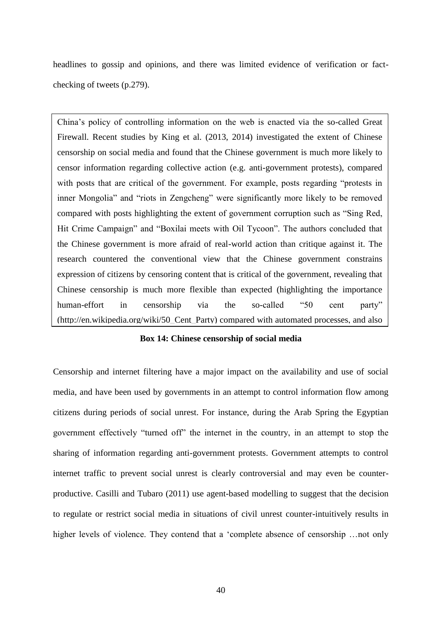headlines to gossip and opinions, and there was limited evidence of verification or factchecking of tweets (p.279).

China's policy of controlling information on the web is enacted via the so-called Great Firewall. Recent studies by King et al. (2013, 2014) investigated the extent of Chinese censorship on social media and found that the Chinese government is much more likely to censor information regarding collective action (e.g. anti-government protests), compared with posts that are critical of the government. For example, posts regarding "protests in inner Mongolia" and "riots in Zengcheng" were significantly more likely to be removed compared with posts highlighting the extent of government corruption such as "Sing Red, Hit Crime Campaign" and "Boxilai meets with Oil Tycoon". The authors concluded that the Chinese government is more afraid of real-world action than critique against it. The research countered the conventional view that the Chinese government constrains expression of citizens by censoring content that is critical of the government, revealing that Chinese censorship is much more flexible than expected (highlighting the importance human-effort in censorship via the so-called "50 cent party" (http://en.wikipedia.org/wiki/50\_Cent\_Party) compared with automated processes, and also

## <span id="page-41-0"></span>Box 14: Chinese censorship of social media

Censorship and internet filtering have a major impact on the availability and use of social media, and have been used by governments in an attempt to control information flow among citizens during periods of social unrest. For instance, during the Arab Spring the Egyptian government effectively "turned off" the internet in the country, in an attempt to stop the sharing of information regarding anti-government protests. Government attempts to control internet traffic to prevent social unrest is clearly controversial and may even be counterproductive. Casilli and Tubaro (2011) use agent-based modelling to suggest that the decision to regulate or restrict social media in situations of civil unrest counter-intuitively results in higher levels of violence. They contend that a 'complete absence of censorship ... not only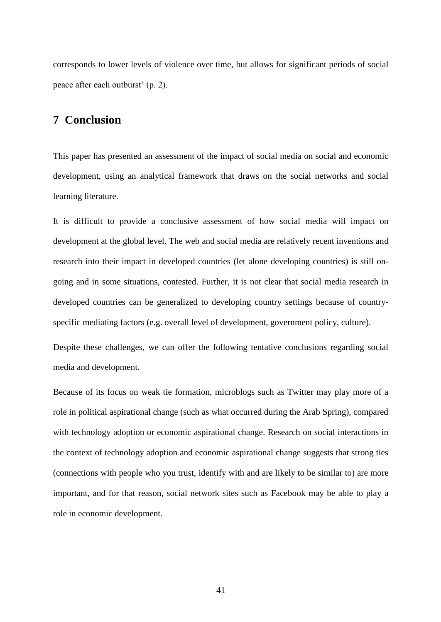corresponds to lower levels of violence over time, but allows for significant periods of social peace after each outburst' (p. 2).

## <span id="page-42-0"></span>**7 Conclusion**

This paper has presented an assessment of the impact of social media on social and economic development, using an analytical framework that draws on the social networks and social learning literature.

It is difficult to provide a conclusive assessment of how social media will impact on development at the global level. The web and social media are relatively recent inventions and research into their impact in developed countries (let alone developing countries) is still ongoing and in some situations, contested. Further, it is not clear that social media research in developed countries can be generalized to developing country settings because of countryspecific mediating factors (e.g. overall level of development, government policy, culture).

Despite these challenges, we can offer the following tentative conclusions regarding social media and development.

Because of its focus on weak tie formation, microblogs such as Twitter may play more of a role in political aspirational change (such as what occurred during the Arab Spring), compared with technology adoption or economic aspirational change. Research on social interactions in the context of technology adoption and economic aspirational change suggests that strong ties (connections with people who you trust, identify with and are likely to be similar to) are more important, and for that reason, social network sites such as Facebook may be able to play a role in economic development.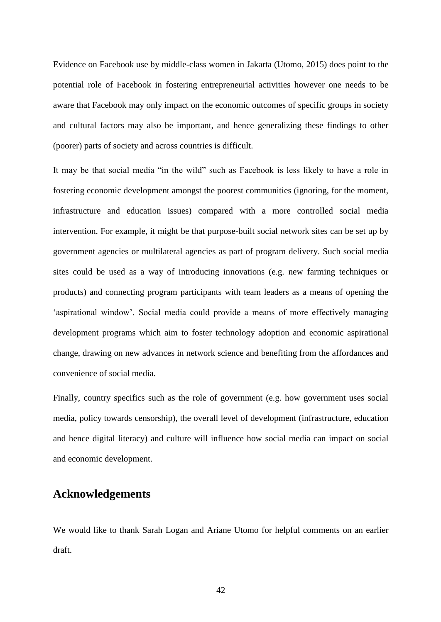Evidence on Facebook use by middle-class women in Jakarta (Utomo, 2015) does point to the potential role of Facebook in fostering entrepreneurial activities however one needs to be aware that Facebook may only impact on the economic outcomes of specific groups in society and cultural factors may also be important, and hence generalizing these findings to other (poorer) parts of society and across countries is difficult.

It may be that social media "in the wild" such as Facebook is less likely to have a role in fostering economic development amongst the poorest communities (ignoring, for the moment, infrastructure and education issues) compared with a more controlled social media intervention. For example, it might be that purpose-built social network sites can be set up by government agencies or multilateral agencies as part of program delivery. Such social media sites could be used as a way of introducing innovations (e.g. new farming techniques or products) and connecting program participants with team leaders as a means of opening the 'aspirational window'. Social media could provide a means of more effectively managing development programs which aim to foster technology adoption and economic aspirational change, drawing on new advances in network science and benefiting from the affordances and convenience of social media.

Finally, country specifics such as the role of government (e.g. how government uses social media, policy towards censorship), the overall level of development (infrastructure, education and hence digital literacy) and culture will influence how social media can impact on social and economic development.

## <span id="page-43-0"></span>**Acknowledgements**

We would like to thank Sarah Logan and Ariane Utomo for helpful comments on an earlier draft.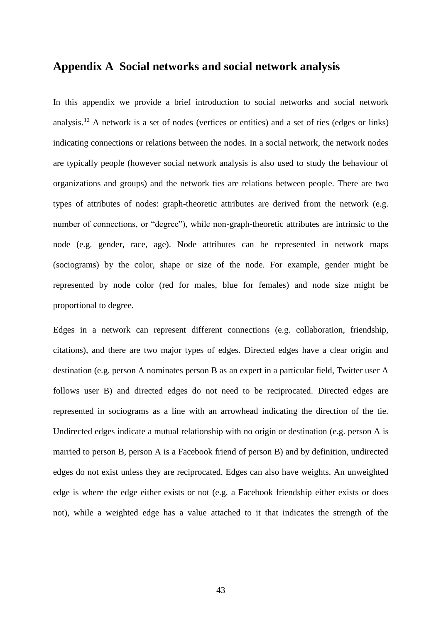## <span id="page-44-0"></span>**Appendix A Social networks and social network analysis**

In this appendix we provide a brief introduction to social networks and social network analysis.<sup>12</sup> A network is a set of nodes (vertices or entities) and a set of ties (edges or links) indicating connections or relations between the nodes. In a social network, the network nodes are typically people (however social network analysis is also used to study the behaviour of organizations and groups) and the network ties are relations between people. There are two types of attributes of nodes: graph-theoretic attributes are derived from the network (e.g. number of connections, or "degree"), while non-graph-theoretic attributes are intrinsic to the node (e.g. gender, race, age). Node attributes can be represented in network maps (sociograms) by the color, shape or size of the node. For example, gender might be represented by node color (red for males, blue for females) and node size might be proportional to degree.

Edges in a network can represent different connections (e.g. collaboration, friendship, citations), and there are two major types of edges. Directed edges have a clear origin and destination (e.g. person A nominates person B as an expert in a particular field, Twitter user A follows user B) and directed edges do not need to be reciprocated. Directed edges are represented in sociograms as a line with an arrowhead indicating the direction of the tie. Undirected edges indicate a mutual relationship with no origin or destination (e.g. person A is married to person B, person A is a Facebook friend of person B) and by definition, undirected edges do not exist unless they are reciprocated. Edges can also have weights. An unweighted edge is where the edge either exists or not (e.g. a Facebook friendship either exists or does not), while a weighted edge has a value attached to it that indicates the strength of the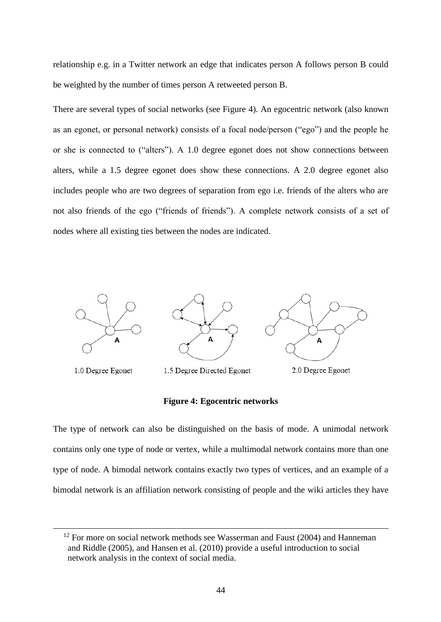relationship e.g. in a Twitter network an edge that indicates person A follows person B could be weighted by the number of times person A retweeted person B.

There are several types of social networks (see Figure 4). An egocentric network (also known as an egonet, or personal network) consists of a focal node/person ("ego") and the people he or she is connected to ("alters"). A 1.0 degree egonet does not show connections between alters, while a 1.5 degree egonet does show these connections. A 2.0 degree egonet also includes people who are two degrees of separation from ego i.e. friends of the alters who are not also friends of the ego ("friends of friends"). A complete network consists of a set of nodes where all existing ties between the nodes are indicated.



#### **Figure 4: Egocentric networks**

<span id="page-45-0"></span>The type of network can also be distinguished on the basis of mode. A unimodal network contains only one type of node or vertex, while a multimodal network contains more than one type of node. A bimodal network contains exactly two types of vertices, and an example of a bimodal network is an affiliation network consisting of people and the wiki articles they have

 $12$  For more on social network methods see Wasserman and Faust (2004) and Hanneman and Riddle (2005), and Hansen et al. (2010) provide a useful introduction to social network analysis in the context of social media.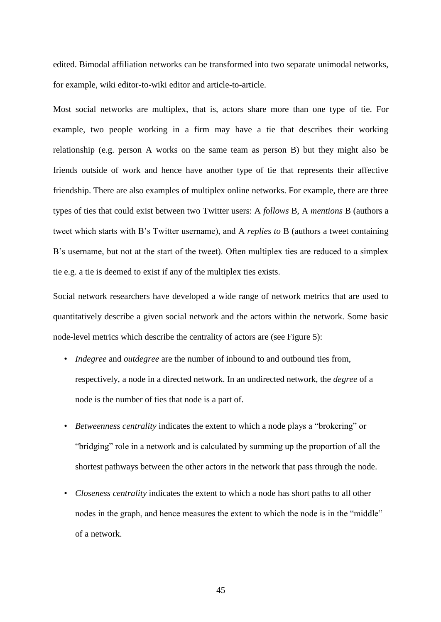edited. Bimodal affiliation networks can be transformed into two separate unimodal networks, for example, wiki editor-to-wiki editor and article-to-article.

Most social networks are multiplex, that is, actors share more than one type of tie. For example, two people working in a firm may have a tie that describes their working relationship (e.g. person A works on the same team as person B) but they might also be friends outside of work and hence have another type of tie that represents their affective friendship. There are also examples of multiplex online networks. For example, there are three types of ties that could exist between two Twitter users: A *follows* B, A *mentions* B (authors a tweet which starts with B's Twitter username), and A *replies to* B (authors a tweet containing B's username, but not at the start of the tweet). Often multiplex ties are reduced to a simplex tie e.g. a tie is deemed to exist if any of the multiplex ties exists.

Social network researchers have developed a wide range of network metrics that are used to quantitatively describe a given social network and the actors within the network. Some basic node-level metrics which describe the centrality of actors are (see Figure 5):

- *Indegree* and *outdegree* are the number of inbound to and outbound ties from, respectively, a node in a directed network. In an undirected network, the *degree* of a node is the number of ties that node is a part of.
- *Betweenness centrality* indicates the extent to which a node plays a "brokering" or "bridging" role in a network and is calculated by summing up the proportion of all the shortest pathways between the other actors in the network that pass through the node.
- *Closeness centrality* indicates the extent to which a node has short paths to all other nodes in the graph, and hence measures the extent to which the node is in the "middle" of a network.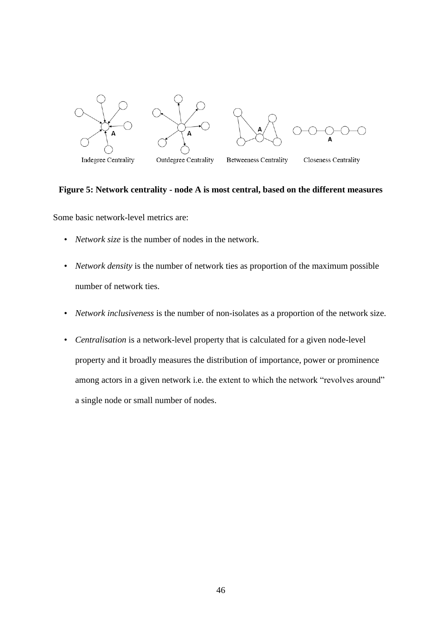

#### <span id="page-47-0"></span>**Figure 5: Network centrality - node A is most central, based on the different measures**

Some basic network-level metrics are:

- *Network size* is the number of nodes in the network.
- *Network density* is the number of network ties as proportion of the maximum possible number of network ties.
- *Network inclusiveness* is the number of non-isolates as a proportion of the network size.
- *Centralisation* is a network-level property that is calculated for a given node-level property and it broadly measures the distribution of importance, power or prominence among actors in a given network i.e. the extent to which the network "revolves around" a single node or small number of nodes.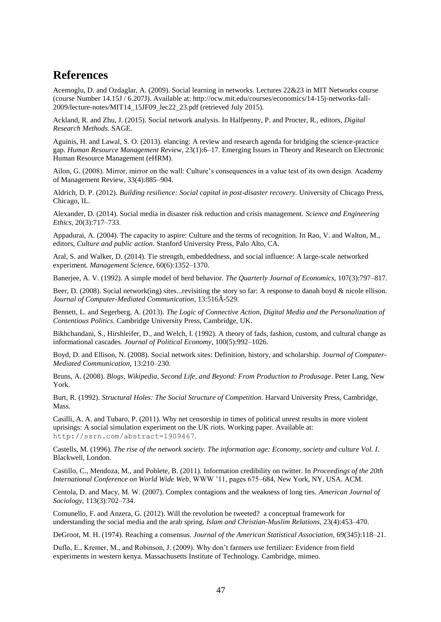## <span id="page-48-0"></span>**References**

Acemoglu, D. and Ozdaglar, A. (2009). Social learning in networks. Lectures 22&23 in MIT Networks course (course Number 14.15J / 6.207J). Available at: http://ocw.mit.edu/courses/economics/14-15j-networks-fall-2009/lecture-notes/MIT14\_15JF09\_lec22\_23.pdf (retrieved July 2015).

Ackland, R. and Zhu, J. (2015). Social network analysis. In Halfpenny, P. and Procter, R., editors, *Digital Research Methods*. SAGE.

Aguinis, H. and Lawal, S. O. (2013). elancing: A review and research agenda for bridging the science-practice gap. *Human Resource Management Review*, 23(1):6–17. Emerging Issues in Theory and Research on Electronic Human Resource Management (eHRM).

Ailon, G. (2008). Mirror, mirror on the wall: Culture's consequences in a value test of its own design. Academy of Management Review, 33(4):885–904.

Aldrich, D. P. (2012). *Building resilience: Social capital in post-disaster recovery.* University of Chicago Press, Chicago, IL.

Alexander, D. (2014). Social media in disaster risk reduction and crisis management. *Science and Engineering Ethics*, 20(3):717–733.

Appadurai, A. (2004). The capacity to aspire: Culture and the terms of recognition. In Rao, V. and Walton, M., editors, *Culture and public action*. Stanford University Press, Palo Alto, CA.

Aral, S. and Walker, D. (2014). Tie strength, embeddedness, and social influence: A large-scale networked experiment. *Management Science*, 60(6):1352–1370.

Banerjee, A. V. (1992). A simple model of herd behavior. *The Quarterly Journal of Economics*, 107(3):797–817.

Beer, D. (2008). Social network(ing) sites...revisiting the story so far: A response to danah boyd & nicole ellison. *Journal of Computer-Mediated Communication*, 13:516Â-529.

Bennett, L. and Segerberg, A. (2013). *The Logic of Connective Action, Digital Media and the Personalization of Contentious Politics*. Cambridge University Press, Cambridge, UK.

Bikhchandani, S., Hirshleifer, D., and Welch, I. (1992). A theory of fads, fashion, custom, and cultural change as informational cascades. *Journal of Political Economy*, 100(5):992–1026.

Boyd, D. and Ellison, N. (2008). Social network sites: Definition, history, and scholarship. *Journal of Computer-Mediated Communication*, 13:210–230.

Bruns, A. (2008). *Blogs, Wikipedia, Second Life, and Beyond: From Production to Produsage*. Peter Lang, New York.

Burt, R. (1992). *Structural Holes: The Social Structure of Competition*. Harvard University Press, Cambridge, Mass.

Casilli, A. A. and Tubaro, P. (2011). Why net censorship in times of political unrest results in more violent uprisings: A social simulation experiment on the UK riots. Working paper. Available at: <http://ssrn.com/abstract=1909467>.

Castells, M. (1996). *The rise of the network society. The information age: Economy, society and culture Vol. I*. Blackwell, London.

Castillo, C., Mendoza, M., and Poblete, B. (2011). Information credibility on twitter. In *Proceedings of the 20th International Conference on World Wide Web*, WWW '11, pages 675–684, New York, NY, USA. ACM.

Centola, D. and Macy, M. W. (2007). Complex contagions and the weakness of long ties. *American Journal of Sociology*, 113(3):702–734.

Comunello, F. and Anzera, G. (2012). Will the revolution be tweeted? a conceptual framework for understanding the social media and the arab spring. *Islam and Christian-Muslim Relations*, 23(4):453–470.

DeGroot, M. H. (1974). Reaching a consensus. *Journal of the American Statistical Association*, 69(345):118–21.

Duflo, E., Kremer, M., and Robinson, J. (2009). Why don't farmers use fertilizer: Evidence from field experiments in western kenya. Massachusetts Institute of Technology. Cambridge, mimeo.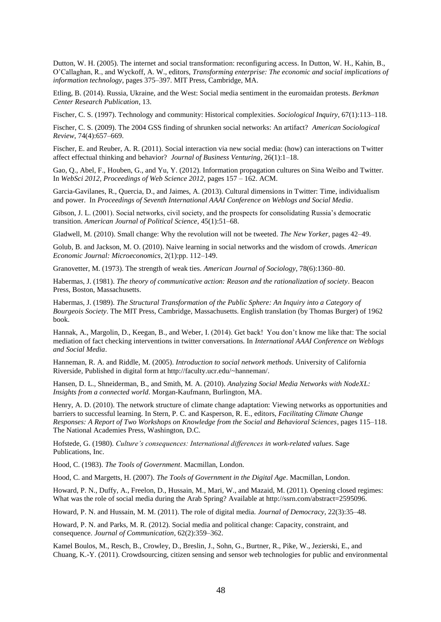Dutton, W. H. (2005). The internet and social transformation: reconfiguring access. In Dutton, W. H., Kahin, B., O'Callaghan, R., and Wyckoff, A. W., editors, *Transforming enterprise: The economic and social implications of information technology*, pages 375–397. MIT Press, Cambridge, MA.

Etling, B. (2014). Russia, Ukraine, and the West: Social media sentiment in the euromaidan protests. *Berkman Center Research Publication*, 13.

Fischer, C. S. (1997). Technology and community: Historical complexities. *Sociological Inquiry*, 67(1):113–118.

Fischer, C. S. (2009). The 2004 GSS finding of shrunken social networks: An artifact? *American Sociological Review*, 74(4):657–669.

Fischer, E. and Reuber, A. R. (2011). Social interaction via new social media: (how) can interactions on Twitter affect effectual thinking and behavior? *Journal of Business Venturing*, 26(1):1–18.

Gao, Q., Abel, F., Houben, G., and Yu, Y. (2012). Information propagation cultures on Sina Weibo and Twitter. In *WebSci 2012, Proceedings of Web Science 2012*, pages 157 – 162. ACM.

Garcia-Gavilanes, R., Quercia, D., and Jaimes, A. (2013). Cultural dimensions in Twitter: Time, individualism and power. In *Proceedings of Seventh International AAAI Conference on Weblogs and Social Media*.

Gibson, J. L. (2001). Social networks, civil society, and the prospects for consolidating Russia's democratic transition. *American Journal of Political Science*, 45(1):51–68.

Gladwell, M. (2010). Small change: Why the revolution will not be tweeted. *The New Yorker*, pages 42–49.

Golub, B. and Jackson, M. O. (2010). Naive learning in social networks and the wisdom of crowds. *American Economic Journal: Microeconomics*, 2(1):pp. 112–149.

Granovetter, M. (1973). The strength of weak ties. *American Journal of Sociology*, 78(6):1360–80.

Habermas, J. (1981). *The theory of communicative action: Reason and the rationalization of society*. Beacon Press, Boston, Massachusetts.

Habermas, J. (1989). *The Structural Transformation of the Public Sphere: An Inquiry into a Category of Bourgeois Society*. The MIT Press, Cambridge, Massachusetts. English translation (by Thomas Burger) of 1962 book.

Hannak, A., Margolin, D., Keegan, B., and Weber, I. (2014). Get back! You don't know me like that: The social mediation of fact checking interventions in twitter conversations. In *International AAAI Conference on Weblogs and Social Media*.

Hanneman, R. A. and Riddle, M. (2005). *Introduction to social network methods*. University of California Riverside, Published in digital form at http://faculty.ucr.edu/~hanneman/.

Hansen, D. L., Shneiderman, B., and Smith, M. A. (2010). *Analyzing Social Media Networks with NodeXL: Insights from a connected world*. Morgan-Kaufmann, Burlington, MA.

Henry, A. D. (2010). The network structure of climate change adaptation: Viewing networks as opportunities and barriers to successful learning. In Stern, P. C. and Kasperson, R. E., editors, *Facilitating Climate Change Responses: A Report of Two Workshops on Knowledge from the Social and Behavioral Sciences*, pages 115–118. The National Academies Press, Washington, D.C.

Hofstede, G. (1980). *Culture's consequences: International differences in work-related values*. Sage Publications, Inc.

Hood, C. (1983). *The Tools of Government*. Macmillan, London.

Hood, C. and Margetts, H. (2007). *The Tools of Government in the Digital Age*. Macmillan, London.

Howard, P. N., Duffy, A., Freelon, D., Hussain, M., Mari, W., and Mazaid, M. (2011). Opening closed regimes: What was the role of social media during the Arab Spring? Available at http://ssrn.com/abstract=2595096.

Howard, P. N. and Hussain, M. M. (2011). The role of digital media. *Journal of Democracy*, 22(3):35–48.

Howard, P. N. and Parks, M. R. (2012). Social media and political change: Capacity, constraint, and consequence. *Journal of Communication*, 62(2):359–362.

Kamel Boulos, M., Resch, B., Crowley, D., Breslin, J., Sohn, G., Burtner, R., Pike, W., Jezierski, E., and Chuang, K.-Y. (2011). Crowdsourcing, citizen sensing and sensor web technologies for public and environmental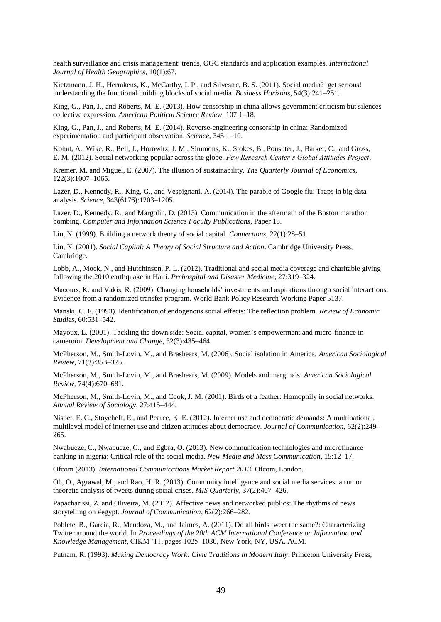health surveillance and crisis management: trends, OGC standards and application examples. *International Journal of Health Geographics*, 10(1):67.

Kietzmann, J. H., Hermkens, K., McCarthy, I. P., and Silvestre, B. S. (2011). Social media? get serious! understanding the functional building blocks of social media. *Business Horizons*, 54(3):241–251.

King, G., Pan, J., and Roberts, M. E. (2013). How censorship in china allows government criticism but silences collective expression. *American Political Science Review*, 107:1–18.

King, G., Pan, J., and Roberts, M. E. (2014). Reverse-engineering censorship in china: Randomized experimentation and participant observation. *Science*, 345:1–10.

Kohut, A., Wike, R., Bell, J., Horowitz, J. M., Simmons, K., Stokes, B., Poushter, J., Barker, C., and Gross, E. M. (2012). Social networking popular across the globe. *Pew Research Center's Global Attitudes Project*.

Kremer, M. and Miguel, E. (2007). The illusion of sustainability. *The Quarterly Journal of Economics*, 122(3):1007–1065.

Lazer, D., Kennedy, R., King, G., and Vespignani, A. (2014). The parable of Google flu: Traps in big data analysis. *Science*, 343(6176):1203–1205.

Lazer, D., Kennedy, R., and Margolin, D. (2013). Communication in the aftermath of the Boston marathon bombing. *Computer and Information Science Faculty Publications*, Paper 18.

Lin, N. (1999). Building a network theory of social capital. *Connections*, 22(1):28–51.

Lin, N. (2001). *Social Capital: A Theory of Social Structure and Action*. Cambridge University Press, Cambridge.

Lobb, A., Mock, N., and Hutchinson, P. L. (2012). Traditional and social media coverage and charitable giving following the 2010 earthquake in Haiti*. Prehospital and Disaster Medicine*, 27:319–324.

Macours, K. and Vakis, R. (2009). Changing households' investments and aspirations through social interactions: Evidence from a randomized transfer program. World Bank Policy Research Working Paper 5137.

Manski, C. F. (1993). Identification of endogenous social effects: The reflection problem. *Review of Economic Studies*, 60:531–542.

Mayoux, L. (2001). Tackling the down side: Social capital, women's empowerment and micro-finance in cameroon. *Development and Change*, 32(3):435–464.

McPherson, M., Smith-Lovin, M., and Brashears, M. (2006). Social isolation in America. *American Sociological Review*, 71(3):353–375.

McPherson, M., Smith-Lovin, M., and Brashears, M. (2009). Models and marginals. *American Sociological Review*, 74(4):670–681.

McPherson, M., Smith-Lovin, M., and Cook, J. M. (2001). Birds of a feather: Homophily in social networks. *Annual Review of Sociology*, 27:415–444.

Nisbet, E. C., Stoycheff, E., and Pearce, K. E. (2012). Internet use and democratic demands: A multinational, multilevel model of internet use and citizen attitudes about democracy. *Journal of Communication*, 62(2):249– 265.

Nwabueze, C., Nwabueze, C., and Egbra, O. (2013). New communication technologies and microfinance banking in nigeria: Critical role of the social media. *New Media and Mass Communication*, 15:12–17.

Ofcom (2013). *International Communications Market Report 2013*. Ofcom, London.

Oh, O., Agrawal, M., and Rao, H. R. (2013). Community intelligence and social media services: a rumor theoretic analysis of tweets during social crises. *MIS Quarterly*, 37(2):407–426.

Papacharissi, Z. and Oliveira, M. (2012). Affective news and networked publics: The rhythms of news storytelling on #egypt. *Journal of Communication*, 62(2):266–282.

Poblete, B., Garcia, R., Mendoza, M., and Jaimes, A. (2011). Do all birds tweet the same?: Characterizing Twitter around the world. In *Proceedings of the 20th ACM International Conference on Information and Knowledge Management*, CIKM '11, pages 1025–1030, New York, NY, USA. ACM.

Putnam, R. (1993). *Making Democracy Work: Civic Traditions in Modern Italy*. Princeton University Press,